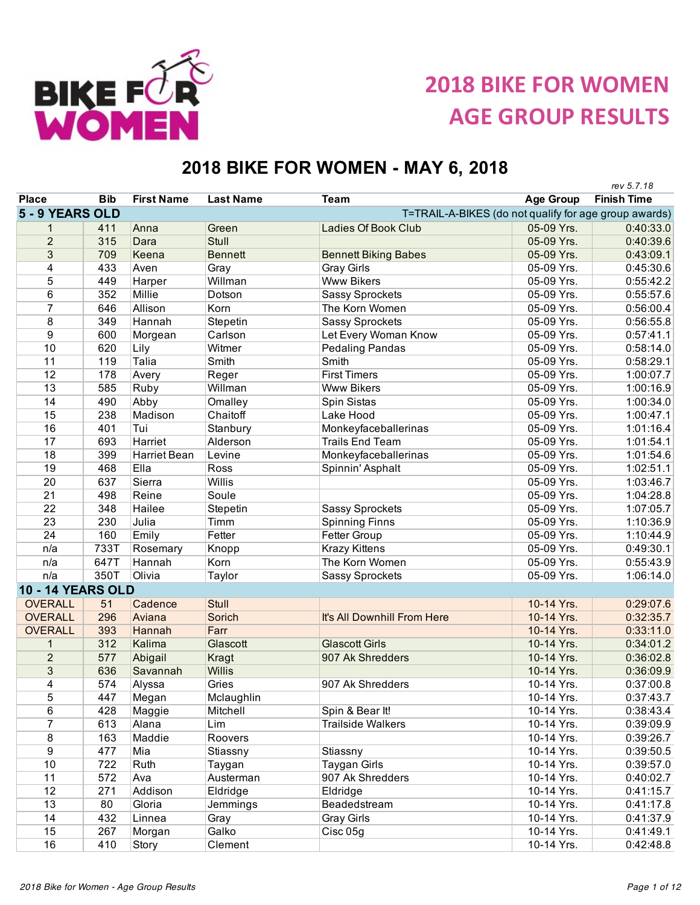

**2018 BIKE FOR WOMEN AGE GROUP RESULTS**

## **2018 BIKE FOR WOMEN - MAY 6, 2018**

|                          |            |                   |                  |                                                       |                  | rev 5.7.18         |
|--------------------------|------------|-------------------|------------------|-------------------------------------------------------|------------------|--------------------|
| <b>Place</b>             | <b>Bib</b> | <b>First Name</b> | <b>Last Name</b> | <b>Team</b>                                           | <b>Age Group</b> | <b>Finish Time</b> |
| 5 - 9 YEARS OLD          |            |                   |                  | T=TRAIL-A-BIKES (do not qualify for age group awards) |                  |                    |
| 1                        | 411        | Anna              | Green            | <b>Ladies Of Book Club</b>                            | 05-09 Yrs.       | 0:40:33.0          |
| $\overline{2}$           | 315        | Dara              | Stull            |                                                       | 05-09 Yrs.       | 0:40:39.6          |
| $\overline{3}$           | 709        | Keena             | <b>Bennett</b>   | <b>Bennett Biking Babes</b>                           | 05-09 Yrs.       | 0:43:09.1          |
| 4                        | 433        | Aven              | Gray             | <b>Gray Girls</b>                                     | 05-09 Yrs.       | 0:45:30.6          |
| 5                        | 449        | Harper            | Willman          | <b>Www Bikers</b>                                     | 05-09 Yrs.       | 0:55:42.2          |
| 6                        | 352        | Millie            | Dotson           | <b>Sassy Sprockets</b>                                | 05-09 Yrs.       | 0:55:57.6          |
| $\overline{7}$           | 646        | Allison           | Korn             | The Korn Women                                        | 05-09 Yrs.       | 0:56:00.4          |
| 8                        | 349        | Hannah            | Stepetin         | <b>Sassy Sprockets</b>                                | 05-09 Yrs.       | 0:56:55.8          |
| 9                        | 600        | Morgean           | Carlson          | Let Every Woman Know                                  | 05-09 Yrs.       | 0:57:41.1          |
| 10                       | 620        | Lily              | Witmer           | <b>Pedaling Pandas</b>                                | 05-09 Yrs.       | 0:58:14.0          |
| 11                       | 119        | Talia             | Smith            | Smith                                                 | 05-09 Yrs.       | 0:58:29.1          |
| 12                       | 178        | Avery             | Reger            | <b>First Timers</b>                                   | 05-09 Yrs.       | 1:00:07.7          |
| 13                       | 585        | Ruby              | Willman          | <b>Www Bikers</b>                                     | 05-09 Yrs.       | 1:00:16.9          |
| 14                       | 490        | Abby              | Omalley          | Spin Sistas                                           | 05-09 Yrs.       | 1:00:34.0          |
| 15                       | 238        | Madison           | Chaitoff         | Lake Hood                                             | 05-09 Yrs.       | 1:00:47.1          |
| 16                       | 401        | Tui               | Stanbury         | Monkeyfaceballerinas                                  | 05-09 Yrs.       | 1:01:16.4          |
| 17                       | 693        | Harriet           | Alderson         | <b>Trails End Team</b>                                | 05-09 Yrs.       | 1:01:54.1          |
| 18                       | 399        | Harriet Bean      | Levine           | Monkeyfaceballerinas                                  | 05-09 Yrs.       | 1:01:54.6          |
| 19                       | 468        | Ella              | Ross             | Spinnin' Asphalt                                      | 05-09 Yrs.       | 1:02:51.1          |
| 20                       | 637        | Sierra            | Willis           |                                                       | 05-09 Yrs.       | 1:03:46.7          |
| 21                       | 498        | Reine             | Soule            |                                                       | 05-09 Yrs.       | 1:04:28.8          |
| 22                       | 348        | Hailee            | Stepetin         | <b>Sassy Sprockets</b>                                | 05-09 Yrs.       | 1:07:05.7          |
| 23                       | 230        | Julia             | Timm             | <b>Spinning Finns</b>                                 | 05-09 Yrs.       | 1:10:36.9          |
| 24                       | 160        | Emily             | Fetter           | Fetter Group                                          | 05-09 Yrs.       | 1:10:44.9          |
| n/a                      | 733T       | Rosemary          | Knopp            | <b>Krazy Kittens</b>                                  | 05-09 Yrs.       | 0:49:30.1          |
| n/a                      | 647T       | Hannah            | Korn             | The Korn Women                                        | 05-09 Yrs.       | 0:55:43.9          |
| n/a                      | 350T       | Olivia            | Taylor           | <b>Sassy Sprockets</b>                                | 05-09 Yrs.       | 1:06:14.0          |
| <b>10 - 14 YEARS OLD</b> |            |                   |                  |                                                       |                  |                    |
| <b>OVERALL</b>           | 51         | Cadence           | Stull            |                                                       | 10-14 Yrs.       | 0:29:07.6          |
| <b>OVERALL</b>           | 296        | Aviana            | Sorich           | It's All Downhill From Here                           | 10-14 Yrs.       | 0:32:35.7          |
| <b>OVERALL</b>           | 393        | Hannah            | Farr             |                                                       | 10-14 Yrs.       | 0:33:11.0          |
| 1                        | 312        | Kalima            | Glascott         | <b>Glascott Girls</b>                                 | 10-14 Yrs.       | 0:34:01.2          |
| $\overline{2}$           | 577        | Abigail           | Kragt            | 907 Ak Shredders                                      | 10-14 Yrs.       | 0:36:02.8          |
| 3                        | 636        | Savannah          | Willis           |                                                       | 10-14 Yrs.       | 0:36:09.9          |
| 4                        | 574        | Alyssa            | Gries            | 907 Ak Shredders                                      | 10-14 Yrs.       | 0:37:00.8          |
| 5                        | 447        | Megan             | Mclaughlin       |                                                       | 10-14 Yrs.       | 0:37:43.7          |
| 6                        | 428        | Maggie            | Mitchell         | Spin & Bear It!                                       | 10-14 Yrs.       | 0:38:43.4          |
| $\overline{7}$           | 613        | Alana             | Lim              | <b>Trailside Walkers</b>                              | 10-14 Yrs.       | 0:39:09.9          |
| 8                        | 163        | Maddie            | Roovers          |                                                       | 10-14 Yrs.       | 0:39:26.7          |
| 9                        | 477        | Mia               | Stiassny         | Stiassny                                              | 10-14 Yrs.       | 0:39:50.5          |
| 10                       | 722        | Ruth              | Taygan           | <b>Taygan Girls</b>                                   | 10-14 Yrs.       | 0:39:57.0          |
| 11                       | 572        | Ava               | Austerman        | 907 Ak Shredders                                      | 10-14 Yrs.       | 0:40:02.7          |
| 12                       | 271        | Addison           | Eldridge         | Eldridge                                              | 10-14 Yrs.       | 0:41:15.7          |
| 13                       | 80         | Gloria            | Jemmings         | Beadedstream                                          | 10-14 Yrs.       | 0:41:17.8          |
| 14                       | 432        | Linnea            | Gray             | <b>Gray Girls</b>                                     | 10-14 Yrs.       | 0:41:37.9          |
| 15                       | 267        | Morgan            | Galko            | Cisc 05g                                              | 10-14 Yrs.       | 0:41:49.1          |
| 16                       | 410        | Story             | Clement          |                                                       | 10-14 Yrs.       | 0:42:48.8          |
|                          |            |                   |                  |                                                       |                  |                    |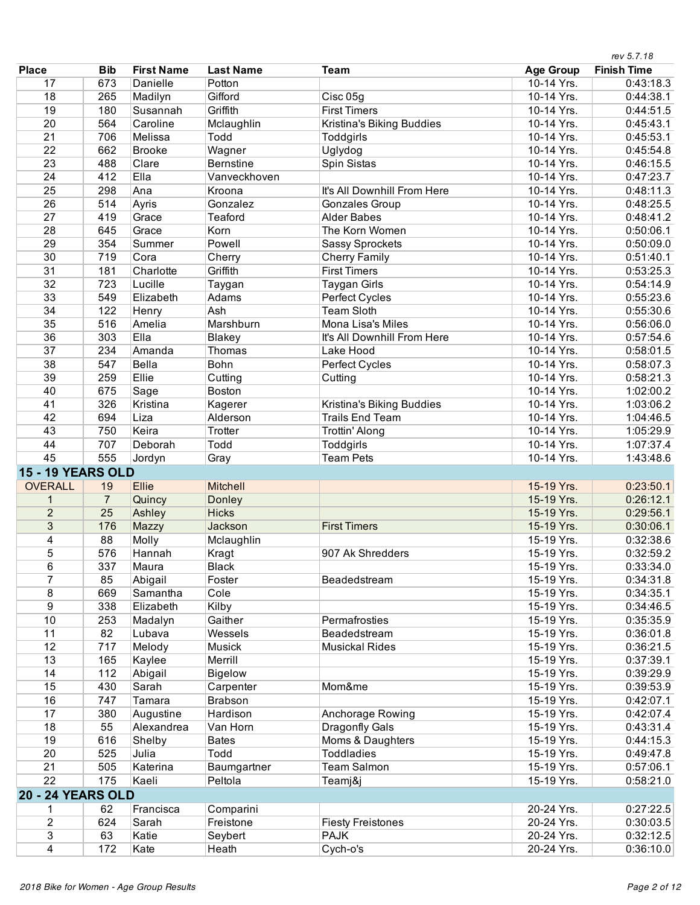|                          |                |                   |                            |                                       |                          | rev 5.7.18             |
|--------------------------|----------------|-------------------|----------------------------|---------------------------------------|--------------------------|------------------------|
| <b>Place</b>             | <b>Bib</b>     | <b>First Name</b> | <b>Last Name</b>           | <b>Team</b>                           | <b>Age Group</b>         | <b>Finish Time</b>     |
| 17                       | 673            | Danielle          | Potton                     |                                       | 10-14 Yrs.               | 0:43:18.3              |
| 18                       | 265            | Madilyn           | Gifford                    | Cisc 05g                              | 10-14 Yrs.               | 0:44:38.1              |
| 19                       | 180            | Susannah          | Griffith                   | <b>First Timers</b>                   | 10-14 Yrs.               | 0:44:51.5              |
| $\overline{20}$          | 564            | Caroline          | Mclaughlin                 | Kristina's Biking Buddies             | 10-14 Yrs.               | 0:45:43.1              |
| 21                       | 706            | Melissa           | Todd                       | Toddgirls                             | 10-14 Yrs.               | 0:45:53.1              |
| $\overline{22}$          | 662            | <b>Brooke</b>     | Wagner                     | Uglydog                               | 10-14 Yrs.               | 0:45:54.8              |
| 23                       | 488            | Clare             | <b>Bernstine</b>           | Spin Sistas                           | 10-14 Yrs.               | 0:46:15.5              |
| 24                       | 412            | Ella              | Vanveckhoven               |                                       | 10-14 Yrs.               | 0:47:23.7              |
| $\overline{25}$          | 298            | Ana               | Kroona                     | It's All Downhill From Here           | 10-14 Yrs.               | 0:48:11.3              |
| 26                       | 514            | Ayris             | Gonzalez                   | <b>Gonzales Group</b>                 | 10-14 Yrs.               | 0:48:25.5              |
| 27                       | 419            | Grace             | Teaford                    | <b>Alder Babes</b>                    | 10-14 Yrs.               | 0:48:41.2              |
| 28                       | 645            | Grace             | Korn                       | The Korn Women                        | 10-14 Yrs.               | 0:50:06.1              |
| 29                       | 354            | Summer            | Powell                     | <b>Sassy Sprockets</b>                | 10-14 Yrs.               | 0:50:09.0              |
| 30                       | 719            | Cora              | Cherry                     | <b>Cherry Family</b>                  | 10-14 Yrs.               | 0:51:40.1              |
| 31                       | 181            | Charlotte         | Griffith                   | <b>First Timers</b>                   | 10-14 Yrs.               | 0:53:25.3              |
| 32                       | 723            | Lucille           | Taygan                     | <b>Taygan Girls</b>                   | 10-14 Yrs.               | 0:54:14.9              |
| 33                       | 549            | Elizabeth         | Adams                      | Perfect Cycles                        | 10-14 Yrs.               | 0:55:23.6              |
| 34                       | 122            | Henry             | Ash                        | <b>Team Sloth</b>                     | 10-14 Yrs.               | 0:55:30.6              |
| 35                       | 516            | Amelia            | Marshburn                  | Mona Lisa's Miles                     | 10-14 Yrs.               | 0:56:06.0              |
| 36                       | 303            | Ella              | <b>Blakey</b>              | It's All Downhill From Here           | 10-14 Yrs.               | 0:57:54.6              |
| 37                       | 234            | Amanda            | Thomas                     | Lake Hood                             | 10-14 Yrs.               | 0:58:01.5              |
| 38                       | 547            | Bella             | <b>Bohn</b>                | Perfect Cycles                        | 10-14 Yrs.               | 0:58:07.3              |
| 39                       | 259            | Ellie             | Cutting                    | Cutting                               | 10-14 Yrs.               | 0:58:21.3              |
| 40                       | 675            | Sage              | Boston                     |                                       | 10-14 Yrs.               | 1:02:00.2              |
| 41                       | 326            | Kristina          | Kagerer                    | Kristina's Biking Buddies             | 10-14 Yrs.               | 1:03:06.2              |
| 42                       | 694            | Liza              | Alderson                   | <b>Trails End Team</b>                | 10-14 Yrs.               | 1:04:46.5              |
| 43                       | 750            | Keira             | Trotter                    |                                       | 10-14 Yrs.               | 1:05:29.9              |
| 44                       | 707            | Deborah           | Todd                       | Trottin' Along<br>Toddgirls           | 10-14 Yrs.               | 1:07:37.4              |
| 45                       | 555            |                   |                            | <b>Team Pets</b>                      | 10-14 Yrs.               | 1:43:48.6              |
|                          |                | Jordyn            | Gray                       |                                       |                          |                        |
| <b>15 - 19 YEARS OLD</b> |                |                   |                            |                                       |                          |                        |
| <b>OVERALL</b>           | 19             | <b>Ellie</b>      | Mitchell                   |                                       | 15-19 Yrs.               | 0:23:50.1              |
| 1                        | $\overline{7}$ | Quincy            | <b>Donley</b>              |                                       | 15-19 Yrs.               | 0:26:12.1              |
| $\overline{2}$           | 25             | Ashley            | <b>Hicks</b>               |                                       | 15-19 Yrs.               | 0:29:56.1              |
| 3                        | 176            | Mazzy             | Jackson                    | <b>First Timers</b>                   | 15-19 Yrs.               | 0:30:06.1              |
| 4<br>5                   | 88<br>576      | Molly             | Mclaughlin                 |                                       | 15-19 Yrs.               | 0:32:38.6              |
|                          |                | Hannah            | Kragt                      | 907 Ak Shredders                      | 15-19 Yrs.               | 0:32:59.2<br>0:33:34.0 |
| 6<br>$\overline{7}$      | 337            | Maura             | <b>Black</b>               |                                       | 15-19 Yrs.               |                        |
|                          | 85             | Abigail           | Foster                     | Beadedstream                          | 15-19 Yrs.               | 0:34:31.8              |
| 8                        | 669            | Samantha          | Cole                       |                                       | 15-19 Yrs.               | 0:34:35.1              |
| 9                        | 338            | Elizabeth         | Kilby                      |                                       | 15-19 Yrs.               | 0:34:46.5              |
| 10                       | 253            | Madalyn           | Gaither                    | Permafrosties                         | 15-19 Yrs.               | 0:35:35.9              |
| 11                       | 82             | Lubava            | Wessels                    | Beadedstream                          | 15-19 Yrs.               | 0:36:01.8              |
| 12                       | 717            | Melody            | Musick                     | <b>Musickal Rides</b>                 | 15-19 Yrs.               | 0:36:21.5              |
| 13                       | 165<br>112     | Kaylee            | Merrill                    |                                       | 15-19 Yrs.               | 0:37:39.1              |
| 14                       |                | Abigail           | <b>Bigelow</b>             |                                       | 15-19 Yrs.               | 0:39:29.9              |
| 15                       | 430            | Sarah             | Carpenter                  | Mom&me                                | 15-19 Yrs.               | 0:39:53.9              |
| 16<br>17                 | 747            | Tamara            | <b>Brabson</b><br>Hardison |                                       | 15-19 Yrs.               | 0:42:07.1              |
|                          | 380            | Augustine         |                            | Anchorage Rowing                      | 15-19 Yrs.               | 0:42:07.4              |
| 18                       | 55             | Alexandrea        | Van Horn                   | Dragonfly Gals                        | 15-19 Yrs.<br>15-19 Yrs. | 0:43:31.4              |
| 19<br>$\overline{20}$    | 616            | Shelby            | <b>Bates</b><br>Todd       | Moms & Daughters<br><b>Toddladies</b> |                          | 0:44:15.3              |
| $\overline{21}$          | 525            | Julia             |                            |                                       | 15-19 Yrs.               | 0:49:47.8              |
| $\overline{22}$          | 505            | Katerina          | Baumgartner                | <b>Team Salmon</b>                    | 15-19 Yrs.               | 0:57:06.1              |
|                          | 175            | Kaeli             | Peltola                    | Teamj&j                               | 15-19 Yrs.               | 0:58:21.0              |
| <b>20 - 24 YEARS OLD</b> |                |                   |                            |                                       |                          |                        |
| 1                        | 62             | Francisca         | Comparini                  |                                       | 20-24 Yrs.               | 0:27:22.5              |
| $\overline{2}$           | 624            | Sarah             | Freistone                  | <b>Fiesty Freistones</b>              | 20-24 Yrs.               | 0:30:03.5              |
| $\overline{3}$           | 63             | Katie             | Seybert                    | <b>PAJK</b>                           | 20-24 Yrs.               | 0:32:12.5              |
| 4                        | 172            | Kate              | Heath                      | Cych-o's                              | 20-24 Yrs.               | 0:36:10.0              |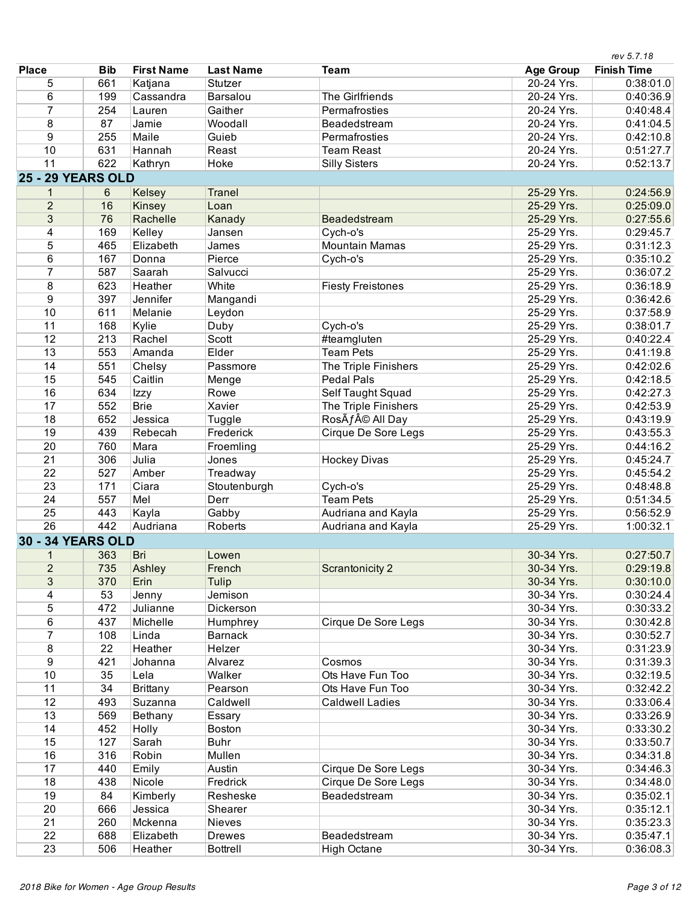|                          |            |                   |                  |                            |                  | rev 5.7.18         |
|--------------------------|------------|-------------------|------------------|----------------------------|------------------|--------------------|
| <b>Place</b>             | <b>Bib</b> | <b>First Name</b> | <b>Last Name</b> | <b>Team</b>                | <b>Age Group</b> | <b>Finish Time</b> |
| 5                        | 661        | Katjana           | Stutzer          |                            | 20-24 Yrs.       | 0:38:01.0          |
| 6                        | 199        | Cassandra         | Barsalou         | The Girlfriends            | 20-24 Yrs.       | 0:40:36.9          |
| 7                        | 254        | Lauren            | Gaither          | Permafrosties              | 20-24 Yrs.       | 0:40:48.4          |
| 8                        | 87         | Jamie             | Woodall          | Beadedstream               | 20-24 Yrs.       | 0:41:04.5          |
| 9                        | 255        | Maile             | Guieb            | Permafrosties              | 20-24 Yrs.       | 0:42:10.8          |
| 10                       | 631        | Hannah            | Reast            | <b>Team Reast</b>          | 20-24 Yrs.       | 0:51:27.7          |
| 11                       | 622        | Kathryn           | Hoke             | <b>Silly Sisters</b>       | 20-24 Yrs.       | 0:52:13.7          |
| <b>25 - 29 YEARS OLD</b> |            |                   |                  |                            |                  |                    |
| 1                        | 6          | Kelsey            | Tranel           |                            | 25-29 Yrs.       | 0:24:56.9          |
| $\overline{2}$           | 16         | Kinsey            | Loan             |                            | 25-29 Yrs.       | 0:25:09.0          |
| 3                        | 76         | Rachelle          | Kanady           | Beadedstream               | 25-29 Yrs.       | 0:27:55.6          |
| 4                        | 169        | Kelley            | Jansen           | Cych-o's                   | 25-29 Yrs.       | 0:29:45.7          |
| 5                        | 465        | Elizabeth         | James            | <b>Mountain Mamas</b>      | 25-29 Yrs.       | 0:31:12.3          |
| 6                        | 167        | Donna             | Pierce           | Cych-o's                   | 25-29 Yrs.       | 0:35:10.2          |
| 7                        | 587        | Saarah            | Salvucci         |                            | 25-29 Yrs.       | 0:36:07.2          |
| 8                        | 623        | Heather           | White            | <b>Fiesty Freistones</b>   | 25-29 Yrs.       | 0:36:18.9          |
| $\overline{9}$           | 397        | Jennifer          | Mangandi         |                            | 25-29 Yrs.       | 0:36:42.6          |
| 10                       | 611        | Melanie           | Leydon           |                            | 25-29 Yrs.       | 0:37:58.9          |
| 11                       | 168        | Kylie             | Duby             | Cych-o's                   | 25-29 Yrs.       | 0:38:01.7          |
| 12                       | 213        | Rachel            | Scott            | #teamgluten                | 25-29 Yrs.       | 0:40:22.4          |
| 13                       | 553        | Amanda            | Elder            | <b>Team Pets</b>           | 25-29 Yrs.       | 0:41:19.8          |
| 14                       | 551        | Chelsy            | Passmore         | The Triple Finishers       | 25-29 Yrs.       | 0:42:02.6          |
| 15                       | 545        | Caitlin           | Menge            | <b>Pedal Pals</b>          | 25-29 Yrs.       | 0:42:18.5          |
| 16                       | 634        | Izzy              | Rowe             | Self Taught Squad          | 25-29 Yrs.       | 0:42:27.3          |
| 17                       | 552        | <b>Brie</b>       | Xavier           | The Triple Finishers       | 25-29 Yrs.       | 0:42:53.9          |
| 18                       | 652        | Jessica           | Tuggle           | RosÃf© All Day             | 25-29 Yrs.       | 0:43:19.9          |
| 19                       | 439        | Rebecah           | Frederick        | <b>Cirque De Sore Legs</b> | 25-29 Yrs.       | 0:43:55.3          |
| 20                       | 760        | Mara              | Froemling        |                            | 25-29 Yrs.       | 0:44:16.2          |
| 21                       | 306        | Julia             | Jones            | <b>Hockey Divas</b>        | 25-29 Yrs.       | 0:45:24.7          |
| 22                       | 527        | Amber             | Treadway         |                            | 25-29 Yrs.       | 0:45:54.2          |
| 23                       | 171        | Ciara             | Stoutenburgh     | Cych-o's                   | 25-29 Yrs.       | 0:48:48.8          |
| 24                       | 557        | Mel               | Derr             | <b>Team Pets</b>           | 25-29 Yrs.       | 0:51:34.5          |
| 25                       | 443        | Kayla             | Gabby            | Audriana and Kayla         | 25-29 Yrs.       | 0:56:52.9          |
| 26                       | 442        | Audriana          | Roberts          | Audriana and Kayla         | 25-29 Yrs.       | 1:00:32.1          |
| <b>30 - 34 YEARS OLD</b> |            |                   |                  |                            |                  |                    |
| $\mathbf{1}$             | 363        | Bri               | Lowen            |                            | 30-34 Yrs.       | 0:27:50.7          |
|                          | 735        |                   | French           |                            | 30-34 Yrs.       | 0:29:19.8          |
| $\overline{c}$<br>3      | 370        | Ashley            |                  | <b>Scrantonicity 2</b>     |                  |                    |
|                          |            | Erin              | Tulip            |                            | 30-34 Yrs.       | 0:30:10.0          |
| 4                        | 53         | Jenny             | Jemison          |                            | 30-34 Yrs.       | 0:30:24.4          |
| 5                        | 472        | Julianne          | Dickerson        |                            | 30-34 Yrs.       | 0:30:33.2          |
| 6<br>7                   | 437        | Michelle          | Humphrey         | Cirque De Sore Legs        | 30-34 Yrs.       | 0:30:42.8          |
|                          | 108        | Linda             | <b>Barnack</b>   |                            | 30-34 Yrs.       | 0:30:52.7          |
| 8                        | 22         | Heather           | Helzer           |                            | 30-34 Yrs.       | 0:31:23.9          |
| 9                        | 421        | Johanna           | Alvarez          | Cosmos                     | 30-34 Yrs.       | 0:31:39.3          |
| 10                       | 35         | Lela              | Walker           | Ots Have Fun Too           | 30-34 Yrs.       | 0:32:19.5          |
| 11                       | 34         | <b>Brittany</b>   | Pearson          | Ots Have Fun Too           | 30-34 Yrs.       | 0:32:42.2          |
| 12                       | 493        | Suzanna           | Caldwell         | <b>Caldwell Ladies</b>     | 30-34 Yrs.       | 0:33:06.4          |
| 13                       | 569        | Bethany           | Essary           |                            | 30-34 Yrs.       | 0:33:26.9          |
| 14                       | 452        | Holly             | Boston           |                            | 30-34 Yrs.       | 0:33:30.2          |
| 15                       | 127        | Sarah             | <b>Buhr</b>      |                            | 30-34 Yrs.       | 0:33:50.7          |
| 16                       | 316        | Robin             | Mullen           |                            | 30-34 Yrs.       | 0:34:31.8          |
| 17                       | 440        | Emily             | Austin           | Cirque De Sore Legs        | 30-34 Yrs.       | 0:34:46.3          |
| 18                       | 438        | Nicole            | Fredrick         | Cirque De Sore Legs        | 30-34 Yrs.       | 0:34:48.0          |
| 19                       | 84         | Kimberly          | Resheske         | Beadedstream               | 30-34 Yrs.       | 0:35:02.1          |
| $\overline{20}$          | 666        | Jessica           | Shearer          |                            | 30-34 Yrs.       | 0:35:12.1          |
| $\overline{21}$          | 260        | Mckenna           | Nieves           |                            | 30-34 Yrs.       | 0:35:23.3          |
| 22                       | 688        | Elizabeth         | <b>Drewes</b>    | Beadedstream               | 30-34 Yrs.       | 0:35:47.1          |
| 23                       | 506        | Heather           | <b>Bottrell</b>  | <b>High Octane</b>         | 30-34 Yrs.       | 0:36:08.3          |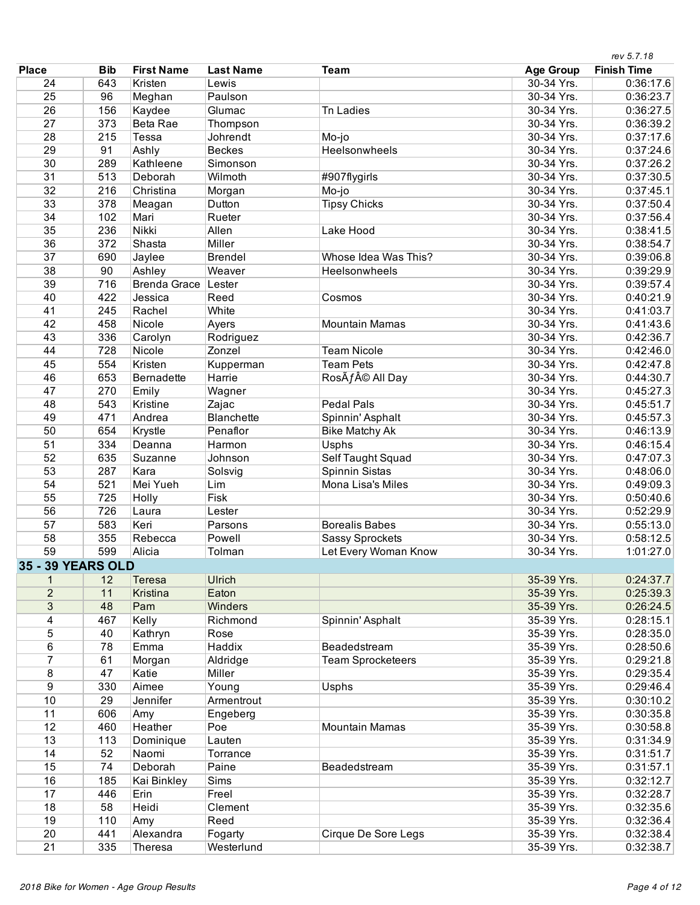|                   |            |                     |                       |                            |                  | rev 5.7.18         |
|-------------------|------------|---------------------|-----------------------|----------------------------|------------------|--------------------|
| <b>Place</b>      | <b>Bib</b> | <b>First Name</b>   | <b>Last Name</b>      | Team                       | <b>Age Group</b> | <b>Finish Time</b> |
| 24                | 643        | Kristen             | Lewis                 |                            | 30-34 Yrs.       | 0:36:17.6          |
| 25                | 96         | Meghan              | Paulson               |                            | 30-34 Yrs.       | 0:36:23.7          |
| 26                | 156        | Kaydee              | Glumac                | <b>Tn Ladies</b>           | 30-34 Yrs.       | 0:36:27.5          |
| $\overline{27}$   | 373        | Beta Rae            | Thompson              |                            | 30-34 Yrs.       | 0:36:39.2          |
| 28                | 215        | Tessa               | Johrendt              | Mo-jo                      | 30-34 Yrs.       | 0:37:17.6          |
| 29                | 91         | Ashly               | <b>Beckes</b>         | Heelsonwheels              | 30-34 Yrs.       | 0:37:24.6          |
| 30                | 289        | Kathleene           | Simonson              |                            | 30-34 Yrs.       | 0:37:26.2          |
| $\overline{31}$   | 513        | Deborah             | Wilmoth               | #907flygirls               | 30-34 Yrs.       | 0:37:30.5          |
| 32                | 216        | Christina           | Morgan                | Mo-jo                      | 30-34 Yrs.       | 0:37:45.1          |
| 33                | 378        | Meagan              | Dutton                | <b>Tipsy Chicks</b>        | 30-34 Yrs.       | 0:37:50.4          |
| 34                | 102        | Mari                | Rueter                |                            | 30-34 Yrs.       | 0:37:56.4          |
| 35                | 236        | Nikki               | Allen                 | Lake Hood                  | 30-34 Yrs.       | 0:38:41.5          |
| 36                | 372        | Shasta              | Miller                |                            | 30-34 Yrs.       | 0:38:54.7          |
| 37                | 690        | Jaylee              | <b>Brendel</b>        | Whose Idea Was This?       | 30-34 Yrs.       | 0:39:06.8          |
| 38                | 90         | Ashley              | Weaver                | <b>Heelsonwheels</b>       | 30-34 Yrs.       | 0:39:29.9          |
| 39                | 716        | <b>Brenda Grace</b> | Lester                |                            | 30-34 Yrs.       | 0:39:57.4          |
| 40                | 422        | Jessica             | Reed                  | Cosmos                     | 30-34 Yrs.       | 0:40:21.9          |
| 41                | 245        | Rachel              | White                 |                            | 30-34 Yrs.       | 0:41:03.7          |
| 42                | 458        | Nicole              | Ayers                 | <b>Mountain Mamas</b>      | 30-34 Yrs.       | 0:41:43.6          |
| 43                | 336        | Carolyn             | Rodriguez             |                            | 30-34 Yrs.       | 0:42:36.7          |
| 44                | 728        | Nicole              | Zonzel                | <b>Team Nicole</b>         | 30-34 Yrs.       | 0:42:46.0          |
| 45                | 554        | Kristen             | Kupperman             | <b>Team Pets</b>           | 30-34 Yrs.       | 0:42:47.8          |
| 46                | 653        | <b>Bernadette</b>   | Harrie                | RosÃf© All Day             | 30-34 Yrs.       | 0:44:30.7          |
| 47                | 270        | Emily               | Wagner                |                            | 30-34 Yrs.       | 0:45:27.3          |
| 48                | 543        | Kristine            | Zajac                 | <b>Pedal Pals</b>          | 30-34 Yrs.       | 0:45:51.7          |
| 49                | 471        | Andrea              | <b>Blanchette</b>     | Spinnin' Asphalt           | 30-34 Yrs.       | 0:45:57.3          |
| 50                | 654        | Krystle             | Penaflor              | <b>Bike Matchy Ak</b>      | 30-34 Yrs.       | 0:46:13.9          |
| 51                | 334        | Deanna              | Harmon                | Usphs                      | 30-34 Yrs.       | 0:46:15.4          |
| 52                | 635        | Suzanne             | Johnson               | Self Taught Squad          | 30-34 Yrs.       | 0:47:07.3          |
| 53                | 287        | Kara                | Solsvig               | Spinnin Sistas             | 30-34 Yrs.       | 0:48:06.0          |
| 54                | 521        | Mei Yueh            | Lim                   | Mona Lisa's Miles          | 30-34 Yrs.       | 0:49:09.3          |
| 55                | 725        | Holly               | Fisk                  |                            | 30-34 Yrs.       | 0:50:40.6          |
| 56                | 726        | Laura               | Lester                |                            | 30-34 Yrs.       | 0:52:29.9          |
| 57                | 583        | Keri                | Parsons               | <b>Borealis Babes</b>      | 30-34 Yrs.       | 0:55:13.0          |
| 58                | 355        | Rebecca             | Powell                | <b>Sassy Sprockets</b>     | 30-34 Yrs.       | 0:58:12.5          |
| 59                | 599        | Alicia              | Tolman                | Let Every Woman Know       | 30-34 Yrs.       | 1:01:27.0          |
| 35 - 39 YEARS OLD |            |                     |                       |                            |                  |                    |
| 1                 | 12         | <b>Teresa</b>       | <b>Ulrich</b>         |                            | 35-39 Yrs.       | 0:24:37.7          |
| $\overline{2}$    | 11         | Kristina            | Eaton                 |                            | 35-39 Yrs.       | 0:25:39.3          |
| 3                 | 48         | Pam                 | <b>Winders</b>        |                            | 35-39 Yrs.       | 0:26:24.5          |
| 4                 | 467        | Kelly               | Richmond              | Spinnin' Asphalt           | 35-39 Yrs.       | 0:28:15.1          |
| $\overline{5}$    | 40         | Kathryn             | Rose                  |                            | 35-39 Yrs.       | 0:28:35.0          |
| 6                 | 78         | Emma                | Haddix                | Beadedstream               | 35-39 Yrs.       | 0:28:50.6          |
| 7                 | 61         | Morgan              | Aldridge              | <b>Team Sprocketeers</b>   | 35-39 Yrs.       | 0:29:21.8          |
| 8                 | 47         | Katie               | Miller                |                            | 35-39 Yrs.       | 0:29:35.4          |
| $\overline{9}$    | 330        | Aimee               | Young                 | Usphs                      | 35-39 Yrs.       | 0:29:46.4          |
| 10                | 29         | Jennifer            | Armentrout            |                            | 35-39 Yrs.       | 0:30:10.2          |
| 11                | 606        | Amy                 | Engeberg              |                            | 35-39 Yrs.       | 0:30:35.8          |
| 12                | 460        | Heather             | Poe                   | <b>Mountain Mamas</b>      | 35-39 Yrs.       | 0:30:58.8          |
| 13                | 113        | Dominique           | Lauten                |                            | 35-39 Yrs.       | 0:31:34.9          |
| 14                | 52         | Naomi               | Torrance              |                            | 35-39 Yrs.       | 0:31:51.7          |
| 15                | 74         | Deborah             | Paine                 | Beadedstream               | 35-39 Yrs.       | 0:31:57.1          |
| 16                | 185        | Kai Binkley         | Sims                  |                            | 35-39 Yrs.       | 0:32:12.7          |
| 17                | 446        | Erin                | Freel                 |                            | 35-39 Yrs.       | 0:32:28.7          |
| 18                | 58         | Heidi               | Clement               |                            | 35-39 Yrs.       | 0:32:35.6          |
| 19                | 110        |                     | Reed                  |                            | 35-39 Yrs.       | 0:32:36.4          |
| 20                | 441        | Amy<br>Alexandra    |                       | <b>Cirque De Sore Legs</b> | 35-39 Yrs.       | 0:32:38.4          |
|                   |            |                     | Fogarty<br>Westerlund |                            |                  |                    |
| 21                | 335        | Theresa             |                       |                            | 35-39 Yrs.       | 0:32:38.7          |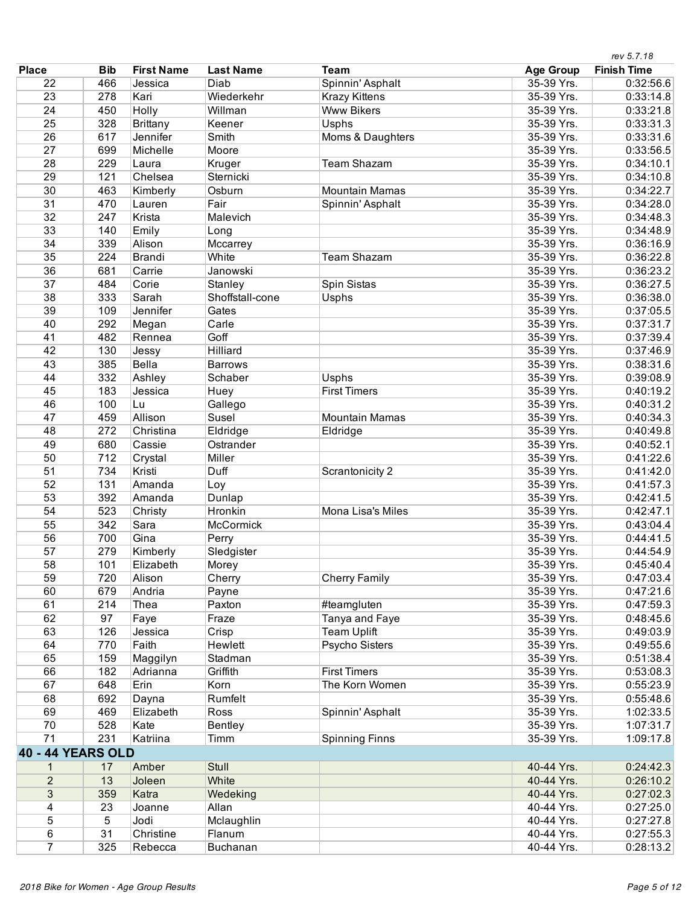|                          |            |                   |                  |                          |                  | rev 5.7.18         |
|--------------------------|------------|-------------------|------------------|--------------------------|------------------|--------------------|
| <b>Place</b>             | <b>Bib</b> | <b>First Name</b> | <b>Last Name</b> | <b>Team</b>              | <b>Age Group</b> | <b>Finish Time</b> |
| 22                       | 466        | Jessica           | Diab             | Spinnin' Asphalt         | 35-39 Yrs.       | 0:32:56.6          |
| 23                       | 278        | Kari              | Wiederkehr       | <b>Krazy Kittens</b>     | 35-39 Yrs.       | 0:33:14.8          |
| 24                       | 450        | Holly             | Willman          | <b>Www Bikers</b>        | 35-39 Yrs.       | 0:33:21.8          |
| 25                       | 328        | <b>Brittany</b>   | Keener           | Usphs                    | 35-39 Yrs.       | 0:33:31.3          |
| 26                       | 617        | Jennifer          | Smith            | Moms & Daughters         | 35-39 Yrs.       | 0:33:31.6          |
| 27                       | 699        | Michelle          | Moore            |                          | 35-39 Yrs.       | 0:33:56.5          |
| 28                       | 229        | Laura             | Kruger           | <b>Team Shazam</b>       | 35-39 Yrs.       | 0:34:10.1          |
| 29                       | 121        | Chelsea           | Sternicki        |                          | 35-39 Yrs.       | 0:34:10.8          |
| 30                       | 463        | Kimberly          | Osburn           | <b>Mountain Mamas</b>    | 35-39 Yrs.       | 0:34:22.7          |
| 31                       | 470        | Lauren            | Fair             | Spinnin' Asphalt         | 35-39 Yrs.       | 0:34:28.0          |
| 32                       | 247        | Krista            | Malevich         |                          | 35-39 Yrs.       | 0:34:48.3          |
| 33                       | 140        | Emily             | Long             |                          | 35-39 Yrs.       | 0:34:48.9          |
| 34                       | 339        | Alison            | Mccarrey         |                          | 35-39 Yrs.       | 0:36:16.9          |
| 35                       | 224        |                   | White            | <b>Team Shazam</b>       | 35-39 Yrs.       |                    |
|                          |            | <b>Brandi</b>     |                  |                          |                  | 0:36:22.8          |
| 36                       | 681        | Carrie            | Janowski         |                          | 35-39 Yrs.       | 0:36:23.2          |
| 37                       | 484        | Corie             | Stanley          | Spin Sistas              | 35-39 Yrs.       | 0:36:27.5          |
| 38                       | 333        | Sarah             | Shoffstall-cone  | Usphs                    | 35-39 Yrs.       | 0:36:38.0          |
| 39                       | 109        | Jennifer          | Gates            |                          | 35-39 Yrs.       | 0:37:05.5          |
| 40                       | 292        | Megan             | Carle            |                          | 35-39 Yrs.       | 0:37:31.7          |
| 41                       | 482        | Rennea            | Goff             |                          | 35-39 Yrs.       | 0:37:39.4          |
| 42                       | 130        | Jessy             | Hilliard         |                          | 35-39 Yrs.       | 0:37:46.9          |
| 43                       | 385        | <b>Bella</b>      | <b>Barrows</b>   |                          | 35-39 Yrs.       | 0:38:31.6          |
| 44                       | 332        | Ashley            | Schaber          | <b>Usphs</b>             | 35-39 Yrs.       | 0:39:08.9          |
| 45                       | 183        | Jessica           | Huey             | <b>First Timers</b>      | 35-39 Yrs.       | 0:40:19.2          |
| 46                       | 100        | Lu                | Gallego          |                          | 35-39 Yrs.       | 0:40:31.2          |
| 47                       | 459        | Allison           | Susel            | <b>Mountain Mamas</b>    | 35-39 Yrs.       | 0:40:34.3          |
| 48                       | 272        | Christina         | Eldridge         | Eldridge                 | 35-39 Yrs.       | 0:40:49.8          |
| 49                       | 680        | Cassie            | Ostrander        |                          | 35-39 Yrs.       | 0:40:52.1          |
| 50                       | 712        | Crystal           | Miller           |                          | 35-39 Yrs.       | 0:41:22.6          |
| 51                       | 734        | Kristi            | Duff             | Scrantonicity 2          | 35-39 Yrs.       | 0:41:42.0          |
| 52                       | 131        | Amanda            | Loy              |                          | 35-39 Yrs.       | 0:41:57.3          |
| 53                       | 392        | Amanda            | Dunlap           |                          | 35-39 Yrs.       | 0:42:41.5          |
| 54                       | 523        | Christy           | Hronkin          | <b>Mona Lisa's Miles</b> | 35-39 Yrs.       | 0:42:47.1          |
| 55                       | 342        | Sara              | <b>McCormick</b> |                          | 35-39 Yrs.       | 0:43:04.4          |
| 56                       | 700        | Gina              | Perry            |                          | 35-39 Yrs.       | 0:44:41.5          |
| 57                       | 279        | Kimberly          | Sledgister       |                          | 35-39 Yrs.       | 0:44:54.9          |
| 58                       | 101        | Elizabeth         |                  |                          | 35-39 Yrs.       | 0:45:40.4          |
| 59                       | 720        | Alison            | Morey<br>Cherry  | <b>Cherry Family</b>     | 35-39 Yrs.       | 0:47:03.4          |
| 60                       | 679        |                   |                  |                          |                  |                    |
|                          |            | Andria            | Payne            |                          | 35-39 Yrs.       | 0:47:21.6          |
| 61                       | 214        | Thea              | Paxton           | #teamgluten              | 35-39 Yrs.       | 0:47:59.3          |
| 62                       | 97         | Faye              | Fraze            | Tanya and Faye           | 35-39 Yrs.       | 0:48:45.6          |
| 63                       | 126        | Jessica           | Crisp            | <b>Team Uplift</b>       | 35-39 Yrs.       | 0:49:03.9          |
| 64                       | 770        | Faith             | Hewlett          | <b>Psycho Sisters</b>    | 35-39 Yrs.       | 0:49:55.6          |
| 65                       | 159        | Maggilyn          | Stadman          |                          | 35-39 Yrs.       | 0:51:38.4          |
| 66                       | 182        | Adrianna          | Griffith         | <b>First Timers</b>      | 35-39 Yrs.       | 0:53:08.3          |
| 67                       | 648        | Erin              | Korn             | The Korn Women           | 35-39 Yrs.       | 0:55:23.9          |
| 68                       | 692        | Dayna             | Rumfelt          |                          | 35-39 Yrs.       | 0:55:48.6          |
| 69                       | 469        | Elizabeth         | Ross             | Spinnin' Asphalt         | 35-39 Yrs.       | 1:02:33.5          |
| 70                       | 528        | Kate              | Bentley          |                          | 35-39 Yrs.       | 1:07:31.7          |
| 71                       | 231        | Katriina          | Timm             | <b>Spinning Finns</b>    | 35-39 Yrs.       | 1:09:17.8          |
| <b>40 - 44 YEARS OLD</b> |            |                   |                  |                          |                  |                    |
| 1                        | 17         | Amber             | <b>Stull</b>     |                          | 40-44 Yrs.       | 0:24:42.3          |
| $\overline{2}$           | 13         | Joleen            | White            |                          | 40-44 Yrs.       | 0:26:10.2          |
| 3                        | 359        | Katra             | Wedeking         |                          | 40-44 Yrs.       | 0:27:02.3          |
| 4                        | 23         | Joanne            | Allan            |                          | 40-44 Yrs.       | 0:27:25.0          |
| $\overline{5}$           | 5          | Jodi              | Mclaughlin       |                          | 40-44 Yrs.       | 0:27:27.8          |
|                          | 31         | Christine         | Flanum           |                          | 40-44 Yrs.       | 0:27:55.3          |
| 6                        |            |                   |                  |                          |                  |                    |
| $\overline{7}$           | 325        | Rebecca           | Buchanan         |                          | 40-44 Yrs.       | 0:28:13.2          |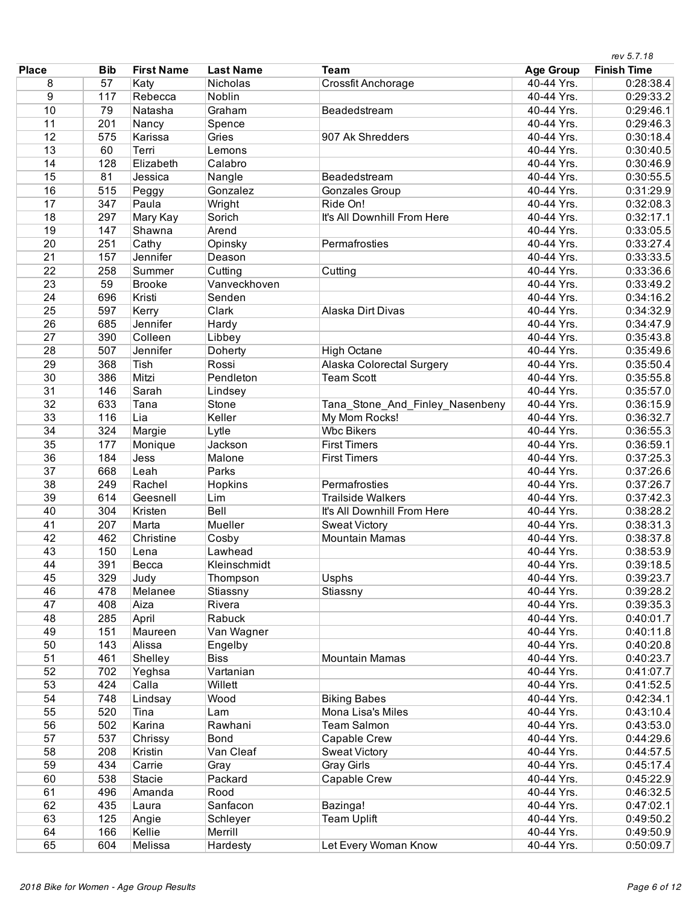|                 |            |                   |                  |                                  |                          | rev 5.7.18         |
|-----------------|------------|-------------------|------------------|----------------------------------|--------------------------|--------------------|
| <b>Place</b>    | <b>Bib</b> | <b>First Name</b> | <b>Last Name</b> | <b>Team</b>                      | <b>Age Group</b>         | <b>Finish Time</b> |
| 8               | 57         | Katy              | Nicholas         | <b>Crossfit Anchorage</b>        | 40-44 Yrs.               | 0:28:38.4          |
| $\overline{9}$  | 117        | Rebecca           | Noblin           |                                  | 40-44 Yrs.               | 0:29:33.2          |
| 10              | 79         | Natasha           | Graham           | Beadedstream                     | 40-44 Yrs.               | 0:29:46.1          |
| 11              | 201        | Nancy             | Spence           |                                  | 40-44 Yrs.               | 0:29:46.3          |
| 12              | 575        | Karissa           | Gries            | 907 Ak Shredders                 | 40-44 Yrs.               | 0:30:18.4          |
| 13              | 60         | Terri             | Lemons           |                                  | 40-44 Yrs.               | 0:30:40.5          |
| 14              | 128        | Elizabeth         | Calabro          |                                  | 40-44 Yrs.               | 0:30:46.9          |
| 15              | 81         | Jessica           | Nangle           | Beadedstream                     | 40-44 Yrs.               | 0:30:55.5          |
| 16              | 515        | Peggy             | Gonzalez         | <b>Gonzales Group</b>            | 40-44 Yrs.               | 0:31:29.9          |
| 17              | 347        | Paula             | Wright           | Ride On!                         | 40-44 Yrs.               | 0:32:08.3          |
| 18              | 297        | Mary Kay          | Sorich           | It's All Downhill From Here      | 40-44 Yrs.               | 0:32:17.1          |
| 19              | 147        | Shawna            | Arend            |                                  | 40-44 Yrs.               | 0:33:05.5          |
| 20              | 251        | Cathy             | Opinsky          | Permafrosties                    | 40-44 Yrs.               | 0:33:27.4          |
| $\overline{21}$ | 157        | Jennifer          | Deason           |                                  | 40-44 Yrs.               | 0:33:33.5          |
| $\overline{22}$ | 258        | Summer            | Cutting          | Cutting                          | 40-44 Yrs.               | 0:33:36.6          |
| 23              | 59         | <b>Brooke</b>     | Vanveckhoven     |                                  | 40-44 Yrs.               | 0:33:49.2          |
| $\overline{24}$ | 696        | Kristi            | Senden           |                                  | 40-44 Yrs.               | 0:34:16.2          |
| 25              | 597        | Kerry             | Clark            | <b>Alaska Dirt Divas</b>         | 40-44 Yrs.               | 0:34:32.9          |
| 26              | 685        | Jennifer          | Hardy            |                                  | 40-44 Yrs.               | 0:34:47.9          |
| 27              | 390        | Colleen           | Libbey           |                                  | 40-44 Yrs.               | 0:35:43.8          |
| 28              | 507        | Jennifer          | Doherty          | <b>High Octane</b>               | 40-44 Yrs.               | 0:35:49.6          |
| 29              | 368        | Tish              | Rossi            | <b>Alaska Colorectal Surgery</b> | 40-44 Yrs.               | 0:35:50.4          |
| 30              | 386        | Mitzi             | Pendleton        | <b>Team Scott</b>                | 40-44 Yrs.               | 0:35:55.8          |
| $\overline{31}$ | 146        | Sarah             | Lindsey          |                                  | 40-44 Yrs.               | 0:35:57.0          |
| 32              | 633        | Tana              | Stone            | Tana_Stone_And_Finley_Nasenbeny  | 40-44 Yrs.               | 0:36:15.9          |
| 33              | 116        | Lia               | Keller           | My Mom Rocks!                    | 40-44 Yrs.               | 0:36:32.7          |
| 34              | 324        | Margie            | Lytle            | <b>Wbc Bikers</b>                | 40-44 Yrs.               | 0:36:55.3          |
| 35              | 177        | Monique           | Jackson          | <b>First Timers</b>              | 40-44 Yrs.               | 0:36:59.1          |
| 36              | 184        | Jess              | Malone           | <b>First Timers</b>              | 40-44 Yrs.               | 0:37:25.3          |
| 37              | 668        | Leah              | Parks            |                                  | 40-44 Yrs.               | 0:37:26.6          |
| 38              | 249        | Rachel            | Hopkins          | Permafrosties                    | 40-44 Yrs.               | 0:37:26.7          |
| 39              | 614        | Geesnell          | Lim              | <b>Trailside Walkers</b>         | 40-44 Yrs.               | 0:37:42.3          |
| 40              | 304        | Kristen           | Bell             | It's All Downhill From Here      | 40-44 Yrs.               | 0:38:28.2          |
| 41              | 207        | Marta             | Mueller          | <b>Sweat Victory</b>             | 40-44 Yrs.               | 0:38:31.3          |
| 42              | 462        | Christine         | Cosby            | <b>Mountain Mamas</b>            | 40-44 Yrs.               | 0:38:37.8          |
| 43              | 150        | Lena              | Lawhead          |                                  | 40-44 Yrs.               | 0:38:53.9          |
| 44              | 391        | Becca             | Kleinschmidt     |                                  | 40-44 Yrs.               | 0:39:18.5          |
| 45              | 329        | Judy              | Thompson         | Usphs                            | 40-44 Yrs.               | 0:39:23.7          |
| 46              | 478        | Melanee           | Stiassny         | Stiassny                         | 40-44 Yrs.               | 0:39:28.2          |
| 47              | 408        | Aiza              | Rivera           |                                  | 40-44 Yrs.               | 0:39:35.3          |
| 48              | 285        | April             | Rabuck           |                                  | 40-44 Yrs.               | 0:40:01.7          |
| 49              | 151        | Maureen           | Van Wagner       |                                  | 40-44 Yrs.               | 0:40:11.8          |
| 50              | 143        | Alissa            | Engelby          |                                  | 40-44 Yrs.               | 0:40:20.8          |
| 51              | 461        | Shelley           | <b>Biss</b>      | <b>Mountain Mamas</b>            | 40-44 Yrs.               | 0:40:23.7          |
| 52              | 702        | Yeghsa            | Vartanian        |                                  | 40-44 Yrs.               | 0:41:07.7          |
| 53              | 424        | Calla             | Willett          |                                  | 40-44 Yrs.               | 0:41:52.5          |
| 54              | 748        | Lindsay           | Wood             | <b>Biking Babes</b>              | 40-44 Yrs.               | 0:42:34.1          |
| 55              | 520        | Tina              |                  | Mona Lisa's Miles                | 40-44 Yrs.               | 0:43:10.4          |
| 56              | 502        | Karina            | Lam              | <b>Team Salmon</b>               |                          |                    |
| 57              |            |                   | Rawhani<br>Bond  |                                  | 40-44 Yrs.<br>40-44 Yrs. | 0:43:53.0          |
|                 | 537        | Chrissy           |                  | Capable Crew                     |                          | 0:44:29.6          |
| 58              | 208        | Kristin           | Van Cleaf        | <b>Sweat Victory</b>             | 40-44 Yrs.               | 0:44:57.5          |
| 59              | 434        | Carrie            | Gray             | <b>Gray Girls</b>                | 40-44 Yrs.               | 0:45:17.4          |
| 60              | 538        | Stacie            | Packard          | Capable Crew                     | 40-44 Yrs.               | 0:45:22.9          |
| 61              | 496        | Amanda            | Rood             |                                  | 40-44 Yrs.               | 0:46:32.5          |
| 62              | 435        | Laura             | Sanfacon         | Bazinga!                         | 40-44 Yrs.               | 0:47:02.1          |
| 63              | 125        | Angie             | Schleyer         | <b>Team Uplift</b>               | 40-44 Yrs.               | 0:49:50.2          |
| 64              | 166        | Kellie            | Merrill          |                                  | 40-44 Yrs.               | 0:49:50.9          |
| 65              | 604        | Melissa           | Hardesty         | Let Every Woman Know             | 40-44 Yrs.               | 0:50:09.7          |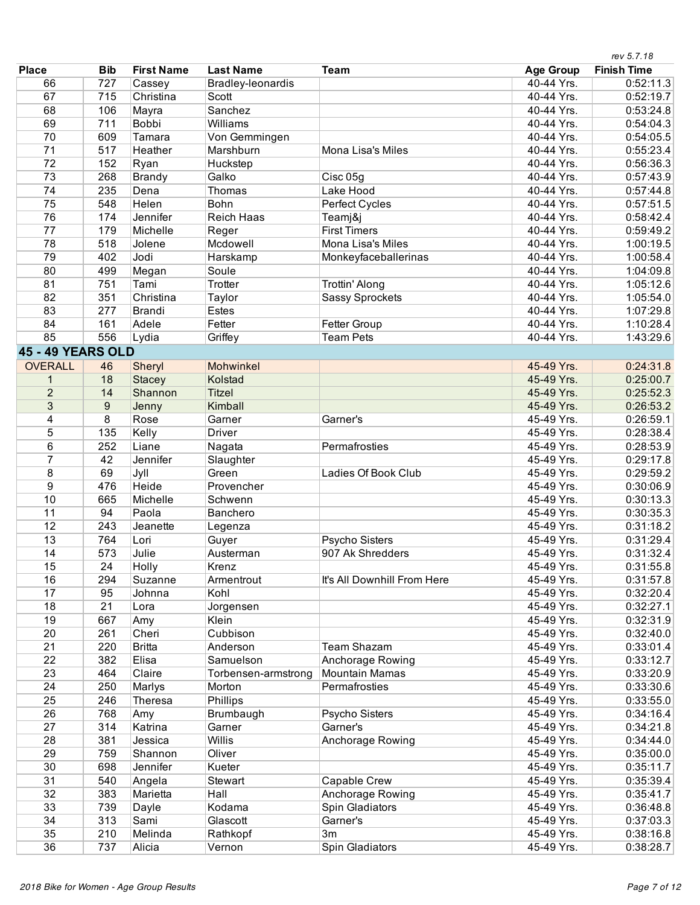|                          |                  |                   |                     |                             |                  | rev 5.7.18         |
|--------------------------|------------------|-------------------|---------------------|-----------------------------|------------------|--------------------|
| <b>Place</b>             | <b>Bib</b>       | <b>First Name</b> | <b>Last Name</b>    | <b>Team</b>                 | <b>Age Group</b> | <b>Finish Time</b> |
| 66                       | 727              | Cassey            | Bradley-leonardis   |                             | 40-44 Yrs.       | 0:52:11.3          |
| 67                       | 715              | Christina         | Scott               |                             | 40-44 Yrs.       | 0:52:19.7          |
| 68                       | 106              | Mayra             | Sanchez             |                             | 40-44 Yrs.       | 0:53:24.8          |
| 69                       | 711              | <b>Bobbi</b>      | Williams            |                             | 40-44 Yrs.       | 0:54:04.3          |
| 70                       | 609              | Tamara            | Von Gemmingen       |                             | 40-44 Yrs.       | 0:54:05.5          |
| 71                       | 517              | Heather           | Marshburn           | Mona Lisa's Miles           | 40-44 Yrs.       | 0:55:23.4          |
| $\overline{72}$          | 152              | Ryan              | Huckstep            |                             | 40-44 Yrs.       | 0:56:36.3          |
| 73                       | 268              | <b>Brandy</b>     | Galko               | Cisc 05g                    | 40-44 Yrs.       | 0:57:43.9          |
| 74                       | 235              | Dena              | Thomas              | Lake Hood                   | 40-44 Yrs.       | 0:57:44.8          |
| 75                       | 548              | Helen             | Bohn                | Perfect Cycles              | 40-44 Yrs.       | 0:57:51.5          |
| 76                       | 174              | Jennifer          | <b>Reich Haas</b>   | Teamj&j                     | 40-44 Yrs.       | 0:58:42.4          |
| 77                       | 179              | Michelle          | Reger               | <b>First Timers</b>         | 40-44 Yrs.       | 0:59:49.2          |
| 78                       | 518              | Jolene            | Mcdowell            | Mona Lisa's Miles           | 40-44 Yrs.       | 1:00:19.5          |
| 79                       | 402              | Jodi              | Harskamp            | Monkeyfaceballerinas        | 40-44 Yrs.       | 1:00:58.4          |
| 80                       | 499              | Megan             | Soule               |                             | 40-44 Yrs.       | 1:04:09.8          |
| 81                       | 751              | Tami              | Trotter             | <b>Trottin' Along</b>       | 40-44 Yrs.       | 1:05:12.6          |
| 82                       | 351              | Christina         | Taylor              | <b>Sassy Sprockets</b>      | 40-44 Yrs.       | 1:05:54.0          |
| 83                       | 277              | <b>Brandi</b>     | <b>Estes</b>        |                             | 40-44 Yrs.       | 1:07:29.8          |
| 84                       | 161              | Adele             | Fetter              | Fetter Group                | 40-44 Yrs.       | 1:10:28.4          |
| 85                       | 556              | Lydia             | Griffey             | <b>Team Pets</b>            | 40-44 Yrs.       | 1:43:29.6          |
| <b>45 - 49 YEARS OLD</b> |                  |                   |                     |                             |                  |                    |
| <b>OVERALL</b>           | 46               | Sheryl            | Mohwinkel           |                             | 45-49 Yrs.       | 0:24:31.8          |
| 1                        | 18               | <b>Stacey</b>     | Kolstad             |                             | 45-49 Yrs.       | 0:25:00.7          |
| $\overline{2}$           | 14               | Shannon           | <b>Titzel</b>       |                             | 45-49 Yrs.       | 0:25:52.3          |
| 3                        | $\boldsymbol{9}$ | Jenny             | Kimball             |                             | 45-49 Yrs.       | 0:26:53.2          |
| 4                        | $\overline{8}$   | Rose              | Garner              | Garner's                    | 45-49 Yrs.       | 0:26:59.1          |
| 5                        | 135              | Kelly             | <b>Driver</b>       |                             | 45-49 Yrs.       | 0:28:38.4          |
| 6                        | 252              | Liane             | Nagata              | Permafrosties               | 45-49 Yrs.       | 0:28:53.9          |
| 7                        | 42               | Jennifer          | Slaughter           |                             | 45-49 Yrs.       | 0:29:17.8          |
| 8                        | 69               | Jyll              | Green               | Ladies Of Book Club         | 45-49 Yrs.       | 0:29:59.2          |
| 9                        | 476              | <b>Heide</b>      | Provencher          |                             | 45-49 Yrs.       | 0:30:06.9          |
| 10                       | 665              | Michelle          | Schwenn             |                             | 45-49 Yrs.       | 0:30:13.3          |
| 11                       | 94               | Paola             | Banchero            |                             | 45-49 Yrs.       | 0:30:35.3          |
| 12                       | 243              | Jeanette          | Legenza             |                             | 45-49 Yrs.       | 0:31:18.2          |
| 13                       | 764              | Lori              | Guyer               | Psycho Sisters              | 45-49 Yrs.       | 0:31:29.4          |
| 14                       | 573              | Julie             | Austerman           | 907 Ak Shredders            | 45-49 Yrs.       | 0:31:32.4          |
| 15                       | 24               | Holly             | Krenz               |                             | 45-49 Yrs.       | 0:31:55.8          |
| 16                       | 294              | Suzanne           | Armentrout          | It's All Downhill From Here | 45-49 Yrs.       | 0:31:57.8          |
| 17                       | 95               | Johnna            | Kohl                |                             | 45-49 Yrs.       | 0:32:20.4          |
| 18                       | 21               | Lora              | Jorgensen           |                             | 45-49 Yrs.       | 0:32:27.1          |
| 19                       | 667              | Amy               | Klein               |                             | 45-49 Yrs.       | 0:32:31.9          |
| 20                       | 261              | Cheri             | Cubbison            |                             | 45-49 Yrs.       | 0:32:40.0          |
| 21                       | 220              | <b>Britta</b>     | Anderson            | Team Shazam                 | 45-49 Yrs.       | 0:33:01.4          |
| 22                       | 382              | Elisa             | Samuelson           | Anchorage Rowing            | 45-49 Yrs.       | 0:33:12.7          |
| 23                       | 464              | Claire            | Torbensen-armstrong | <b>Mountain Mamas</b>       | 45-49 Yrs.       | 0:33:20.9          |
| 24                       | 250              | Marlys            | Morton              | Permafrosties               | 45-49 Yrs.       | 0:33:30.6          |
| 25                       | 246              | Theresa           | Phillips            |                             | 45-49 Yrs.       | 0:33:55.0          |
| 26                       | 768              | Amy               | Brumbaugh           | Psycho Sisters              | 45-49 Yrs.       | 0:34:16.4          |
| 27                       | 314              | Katrina           | Garner              | Garner's                    | 45-49 Yrs.       | 0:34:21.8          |
| 28                       | 381              | Jessica           | Willis              | Anchorage Rowing            | 45-49 Yrs.       | 0:34:44.0          |
| 29                       | 759              | Shannon           | Oliver              |                             | 45-49 Yrs.       | 0:35:00.0          |
| 30                       | 698              | Jennifer          | Kueter              |                             | 45-49 Yrs.       | 0:35:11.7          |
| 31                       | 540              | Angela            | Stewart             | Capable Crew                | 45-49 Yrs.       | 0:35:39.4          |
| 32                       | 383              | Marietta          | Hall                | Anchorage Rowing            | 45-49 Yrs.       | 0:35:41.7          |
| 33                       | 739              | Dayle             | Kodama              | Spin Gladiators             | 45-49 Yrs.       | 0:36:48.8          |
| 34                       | 313              | Sami              | Glascott            | Garner's                    | 45-49 Yrs.       | 0:37:03.3          |
| 35                       | 210              | Melinda           | Rathkopf            | 3m                          | 45-49 Yrs.       | 0:38:16.8          |
| 36                       | 737              | Alicia            | Vernon              | Spin Gladiators             | 45-49 Yrs.       | 0:38:28.7          |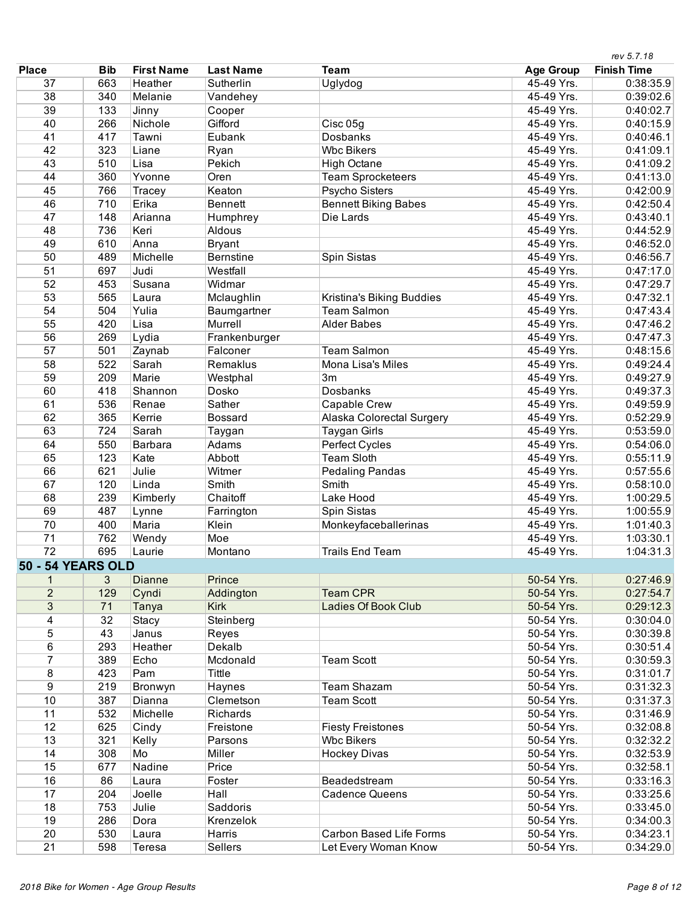|                          |            |                   |                  |                             |                  | rev 5.7.18         |
|--------------------------|------------|-------------------|------------------|-----------------------------|------------------|--------------------|
| <b>Place</b>             | <b>Bib</b> | <b>First Name</b> | <b>Last Name</b> | <b>Team</b>                 | <b>Age Group</b> | <b>Finish Time</b> |
| 37                       | 663        | Heather           | Sutherlin        | Uglydog                     | 45-49 Yrs.       | 0:38:35.9          |
| 38                       | 340        | Melanie           | Vandehey         |                             | 45-49 Yrs.       | 0:39:02.6          |
| 39                       | 133        | Jinny             | Cooper           |                             | 45-49 Yrs.       | 0:40:02.7          |
| 40                       | 266        | Nichole           | Gifford          | Cisc 05g                    | 45-49 Yrs.       | 0:40:15.9          |
| 41                       | 417        | Tawni             | Eubank           | Dosbanks                    | 45-49 Yrs.       | 0:40:46.1          |
| 42                       | 323        | Liane             | Ryan             | <b>Wbc Bikers</b>           | 45-49 Yrs.       | 0:41:09.1          |
| 43                       | 510        | Lisa              | Pekich           | <b>High Octane</b>          | 45-49 Yrs.       | 0:41:09.2          |
| 44                       | 360        | Yvonne            | Oren             | <b>Team Sprocketeers</b>    | 45-49 Yrs.       | 0:41:13.0          |
| 45                       | 766        | Tracey            | Keaton           | <b>Psycho Sisters</b>       | 45-49 Yrs.       | 0:42:00.9          |
| 46                       | 710        | Erika             | Bennett          | <b>Bennett Biking Babes</b> | 45-49 Yrs.       | 0:42:50.4          |
| 47                       | 148        | Arianna           | Humphrey         | Die Lards                   | 45-49 Yrs.       | 0:43:40.1          |
| 48                       | 736        | Keri              | Aldous           |                             | 45-49 Yrs.       | 0:44:52.9          |
| 49                       | 610        | Anna              | <b>Bryant</b>    |                             | 45-49 Yrs.       | 0:46:52.0          |
| 50                       | 489        | Michelle          | Bernstine        | Spin Sistas                 | 45-49 Yrs.       | 0:46:56.7          |
| 51                       | 697        | Judi              | Westfall         |                             | 45-49 Yrs.       | 0:47:17.0          |
| 52                       | 453        | Susana            | Widmar           |                             | 45-49 Yrs.       | 0:47:29.7          |
| 53                       | 565        | Laura             | Mclaughlin       | Kristina's Biking Buddies   | 45-49 Yrs.       | 0:47:32.1          |
| 54                       | 504        | Yulia             | Baumgartner      | <b>Team Salmon</b>          | 45-49 Yrs.       | 0:47:43.4          |
| 55                       | 420        | Lisa              | Murrell          | <b>Alder Babes</b>          | 45-49 Yrs.       | 0:47:46.2          |
| 56                       | 269        | Lydia             | Frankenburger    |                             | 45-49 Yrs.       | 0:47:47.3          |
| 57                       | 501        | Zaynab            | Falconer         | <b>Team Salmon</b>          | 45-49 Yrs.       | 0:48:15.6          |
| 58                       | 522        | Sarah             | Remaklus         | Mona Lisa's Miles           | 45-49 Yrs.       | 0:49:24.4          |
| 59                       | 209        | Marie             | Westphal         | 3m                          | 45-49 Yrs.       | 0:49:27.9          |
| 60                       | 418        | Shannon           | Dosko            | Dosbanks                    | 45-49 Yrs.       | 0:49:37.3          |
| 61                       | 536        | Renae             | Sather           | Capable Crew                | 45-49 Yrs.       | 0:49:59.9          |
| 62                       | 365        | Kerrie            | <b>Bossard</b>   | Alaska Colorectal Surgery   | 45-49 Yrs.       | 0:52:29.9          |
| 63                       | 724        | Sarah             | Taygan           | <b>Taygan Girls</b>         | 45-49 Yrs.       | 0:53:59.0          |
| 64                       | 550        | <b>Barbara</b>    | Adams            | Perfect Cycles              | 45-49 Yrs.       | 0:54:06.0          |
| 65                       | 123        | Kate              | Abbott           | <b>Team Sloth</b>           | 45-49 Yrs.       | 0:55:11.9          |
| 66                       | 621        | Julie             | Witmer           | <b>Pedaling Pandas</b>      | 45-49 Yrs.       | 0:57:55.6          |
| 67                       | 120        | Linda             | Smith            | Smith                       | 45-49 Yrs.       | 0:58:10.0          |
| 68                       | 239        | Kimberly          | Chaitoff         | Lake Hood                   | 45-49 Yrs.       | 1:00:29.5          |
| 69                       | 487        | Lynne             | Farrington       | Spin Sistas                 | 45-49 Yrs.       | 1:00:55.9          |
| 70                       | 400        | Maria             | Klein            | Monkeyfaceballerinas        | 45-49 Yrs.       | 1:01:40.3          |
| 71                       | 762        | Wendy             | Moe              |                             | 45-49 Yrs.       | 1:03:30.1          |
| 72                       | 695        | Laurie            | Montano          | <b>Trails End Team</b>      | 45-49 Yrs.       | 1:04:31.3          |
| <b>50 - 54 YEARS OLD</b> |            |                   |                  |                             |                  |                    |
| 1                        | 3          | <b>Dianne</b>     | Prince           |                             | 50-54 Yrs.       | 0:27:46.9          |
| $\overline{2}$           | 129        | Cyndi             | Addington        | <b>Team CPR</b>             | 50-54 Yrs.       | 0:27:54.7          |
| 3                        | 71         | Tanya             | <b>Kirk</b>      | <b>Ladies Of Book Club</b>  | 50-54 Yrs.       | 0:29:12.3          |
| 4                        | 32         | <b>Stacy</b>      | Steinberg        |                             | 50-54 Yrs.       | 0:30:04.0          |
| $\overline{5}$           | 43         | Janus             | Reyes            |                             | 50-54 Yrs.       | 0:30:39.8          |
| 6                        | 293        | Heather           | Dekalb           |                             | 50-54 Yrs.       | 0:30:51.4          |
| $\overline{7}$           | 389        | Echo              | Mcdonald         | <b>Team Scott</b>           | 50-54 Yrs.       | 0:30:59.3          |
| 8                        | 423        | Pam               | Tittle           |                             | 50-54 Yrs.       | 0:31:01.7          |
| $\overline{9}$           | 219        | Bronwyn           | Haynes           | <b>Team Shazam</b>          | 50-54 Yrs.       | 0:31:32.3          |
| 10                       | 387        | Dianna            | Clemetson        | <b>Team Scott</b>           | 50-54 Yrs.       | 0:31:37.3          |
| 11                       | 532        | Michelle          | Richards         |                             | 50-54 Yrs.       | 0:31:46.9          |
| 12                       | 625        | Cindy             | Freistone        | <b>Fiesty Freistones</b>    | 50-54 Yrs.       | 0:32:08.8          |
| 13                       | 321        | Kelly             | Parsons          | <b>Wbc Bikers</b>           | 50-54 Yrs.       | 0:32:32.2          |
| 14                       | 308        | Mo                | Miller           | <b>Hockey Divas</b>         | 50-54 Yrs.       | 0:32:53.9          |
| 15                       | 677        | Nadine            | Price            |                             | 50-54 Yrs.       | 0:32:58.1          |
| 16                       | 86         | Laura             | Foster           | Beadedstream                | 50-54 Yrs.       | 0:33:16.3          |
| 17                       | 204        | Joelle            | Hall             | <b>Cadence Queens</b>       | 50-54 Yrs.       | 0:33:25.6          |
| 18                       | 753        | Julie             | Saddoris         |                             | 50-54 Yrs.       | 0:33:45.0          |
| 19                       | 286        | Dora              | Krenzelok        |                             | 50-54 Yrs.       | 0:34:00.3          |
| 20                       | 530        | Laura             | Harris           | Carbon Based Life Forms     | 50-54 Yrs.       | 0:34:23.1          |
| 21                       | 598        |                   | <b>Sellers</b>   | Let Every Woman Know        | 50-54 Yrs.       | 0:34:29.0          |
|                          |            | Teresa            |                  |                             |                  |                    |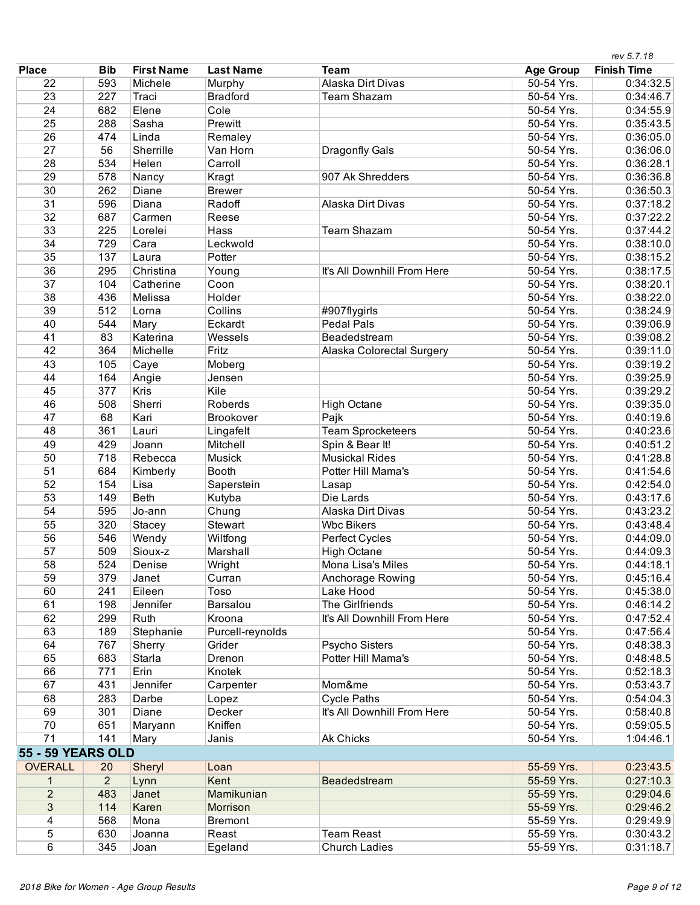|                          |                |                   |                  |                             |                  | rev 5.7.18         |
|--------------------------|----------------|-------------------|------------------|-----------------------------|------------------|--------------------|
| <b>Place</b>             | <b>Bib</b>     | <b>First Name</b> | <b>Last Name</b> | <b>Team</b>                 | <b>Age Group</b> | <b>Finish Time</b> |
| 22                       | 593            | Michele           | Murphy           | Alaska Dirt Divas           | 50-54 Yrs.       | 0:34:32.5          |
| 23                       | 227            | Traci             | <b>Bradford</b>  | <b>Team Shazam</b>          | 50-54 Yrs.       | 0:34:46.7          |
| 24                       | 682            | Elene             | Cole             |                             | 50-54 Yrs.       | 0:34:55.9          |
| 25                       | 288            | Sasha             | Prewitt          |                             | 50-54 Yrs.       | 0:35:43.5          |
| 26                       | 474            | Linda             | Remaley          |                             | 50-54 Yrs.       | 0:36:05.0          |
| 27                       | 56             | Sherrille         | Van Horn         | Dragonfly Gals              | 50-54 Yrs.       | 0:36:06.0          |
| 28                       | 534            | Helen             | Carroll          |                             | 50-54 Yrs.       | 0:36:28.1          |
| 29                       | 578            | Nancy             | Kragt            | 907 Ak Shredders            | 50-54 Yrs.       | 0:36:36.8          |
| 30                       | 262            | Diane             | <b>Brewer</b>    |                             | 50-54 Yrs.       | 0:36:50.3          |
| 31                       | 596            | Diana             | Radoff           | Alaska Dirt Divas           | 50-54 Yrs.       | 0:37:18.2          |
| 32                       | 687            | Carmen            | Reese            |                             | 50-54 Yrs.       | 0:37:22.2          |
| 33                       | 225            | Lorelei           | Hass             | <b>Team Shazam</b>          | 50-54 Yrs.       | 0:37:44.2          |
| 34                       | 729            | Cara              | Leckwold         |                             | 50-54 Yrs.       | 0:38:10.0          |
| 35                       | 137            | Laura             | Potter           |                             | 50-54 Yrs.       | 0:38:15.2          |
| 36                       | 295            | Christina         | Young            | It's All Downhill From Here | 50-54 Yrs.       | 0:38:17.5          |
| 37                       | 104            | Catherine         | Coon             |                             | 50-54 Yrs.       | 0:38:20.1          |
| 38                       | 436            | Melissa           | Holder           |                             | 50-54 Yrs.       | 0:38:22.0          |
| 39                       | 512            | Lorna             | Collins          | #907flygirls                | 50-54 Yrs.       | 0:38:24.9          |
| 40                       | 544            | Mary              | Eckardt          | <b>Pedal Pals</b>           | 50-54 Yrs.       | 0:39:06.9          |
| 41                       | 83             | Katerina          | Wessels          | Beadedstream                | 50-54 Yrs.       | 0:39:08.2          |
| 42                       | 364            | Michelle          | Fritz            | Alaska Colorectal Surgery   | 50-54 Yrs.       | 0:39:11.0          |
| 43                       | 105            | Caye              | Moberg           |                             | 50-54 Yrs.       | 0:39:19.2          |
| 44                       | 164            | Angie             | Jensen           |                             | 50-54 Yrs.       | 0:39:25.9          |
| 45                       | 377            | Kris              | Kile             |                             | 50-54 Yrs.       | 0:39:29.2          |
| 46                       | 508            | Sherri            | Roberds          | <b>High Octane</b>          | 50-54 Yrs.       | 0:39:35.0          |
| 47                       | 68             | Kari              | Brookover        | Pajk                        | 50-54 Yrs.       | 0:40:19.6          |
| 48                       | 361            | Lauri             | Lingafelt        | <b>Team Sprocketeers</b>    | 50-54 Yrs.       | 0:40:23.6          |
| 49                       | 429            | Joann             | Mitchell         | Spin & Bear It!             | 50-54 Yrs.       | 0:40:51.2          |
| 50                       | 718            | Rebecca           | <b>Musick</b>    | <b>Musickal Rides</b>       | 50-54 Yrs.       | 0:41:28.8          |
| 51                       | 684            | Kimberly          | <b>Booth</b>     | Potter Hill Mama's          | 50-54 Yrs.       | 0:41:54.6          |
| 52                       | 154            | Lisa              | Saperstein       | Lasap                       | 50-54 Yrs.       | 0:42:54.0          |
| 53                       | 149            | <b>Beth</b>       | Kutyba           | Die Lards                   | 50-54 Yrs.       | 0:43:17.6          |
| 54                       | 595            | Jo-ann            | Chung            | Alaska Dirt Divas           | 50-54 Yrs.       | 0:43:23.2          |
| 55                       | 320            | <b>Stacey</b>     | Stewart          | <b>Wbc Bikers</b>           | 50-54 Yrs.       | 0:43:48.4          |
| 56                       | 546            | Wendy             | Wiltfong         | Perfect Cycles              | 50-54 Yrs.       | 0:44:09.0          |
| 57                       | 509            | Sioux-z           | Marshall         | <b>High Octane</b>          | 50-54 Yrs.       | 0:44:09.3          |
| 58                       | 524            | Denise            | Wright           | Mona Lisa's Miles           | 50-54 Yrs.       | 0:44:18.1          |
| 59                       | 379            | Janet             | Curran           | Anchorage Rowing            | 50-54 Yrs.       | 0:45:16.4          |
| 60                       | 241            | Eileen            | Toso             | Lake Hood                   | 50-54 Yrs.       | 0:45:38.0          |
| 61                       | 198            | Jennifer          | Barsalou         | The Girlfriends             | 50-54 Yrs.       | 0:46:14.2          |
| 62                       | 299            | Ruth              | Kroona           | It's All Downhill From Here | 50-54 Yrs.       | 0:47:52.4          |
| 63                       | 189            | Stephanie         | Purcell-reynolds |                             | 50-54 Yrs.       | 0:47:56.4          |
| 64                       | 767            | Sherry            | Grider           | <b>Psycho Sisters</b>       | 50-54 Yrs.       | 0:48:38.3          |
| 65                       | 683            | Starla            | Drenon           | Potter Hill Mama's          | 50-54 Yrs.       | 0:48:48.5          |
| 66                       | 771            | Erin              | Knotek           |                             | 50-54 Yrs.       | 0:52:18.3          |
| 67                       | 431            | Jennifer          | Carpenter        | Mom&me                      | 50-54 Yrs.       | 0:53:43.7          |
| 68                       | 283            | Darbe             | Lopez            | <b>Cycle Paths</b>          | 50-54 Yrs.       | 0:54:04.3          |
| 69                       | 301            | Diane             | Decker           | It's All Downhill From Here | 50-54 Yrs.       | 0:58:40.8          |
| 70                       | 651            | Maryann           | Kniffen          |                             | 50-54 Yrs.       | 0:59:05.5          |
| 71                       | 141            | Mary              | Janis            | <b>Ak Chicks</b>            | 50-54 Yrs.       | 1:04:46.1          |
| <b>55 - 59 YEARS OLD</b> |                |                   |                  |                             |                  |                    |
| <b>OVERALL</b>           | 20             | Sheryl            | Loan             |                             | 55-59 Yrs.       | 0:23:43.5          |
| 1                        | $\overline{2}$ | Lynn              | Kent             | Beadedstream                | 55-59 Yrs.       | 0:27:10.3          |
| $\overline{2}$           | 483            | Janet             | Mamikunian       |                             | 55-59 Yrs.       | 0:29:04.6          |
| 3                        | 114            | Karen             | Morrison         |                             | 55-59 Yrs.       | 0:29:46.2          |
| 4                        | 568            | Mona              | <b>Bremont</b>   |                             | 55-59 Yrs.       | 0:29:49.9          |
| 5                        | 630            | Joanna            | Reast            | <b>Team Reast</b>           | 55-59 Yrs.       | 0:30:43.2          |
| 6                        | 345            | Joan              | Egeland          | <b>Church Ladies</b>        | 55-59 Yrs.       | 0:31:18.7          |
|                          |                |                   |                  |                             |                  |                    |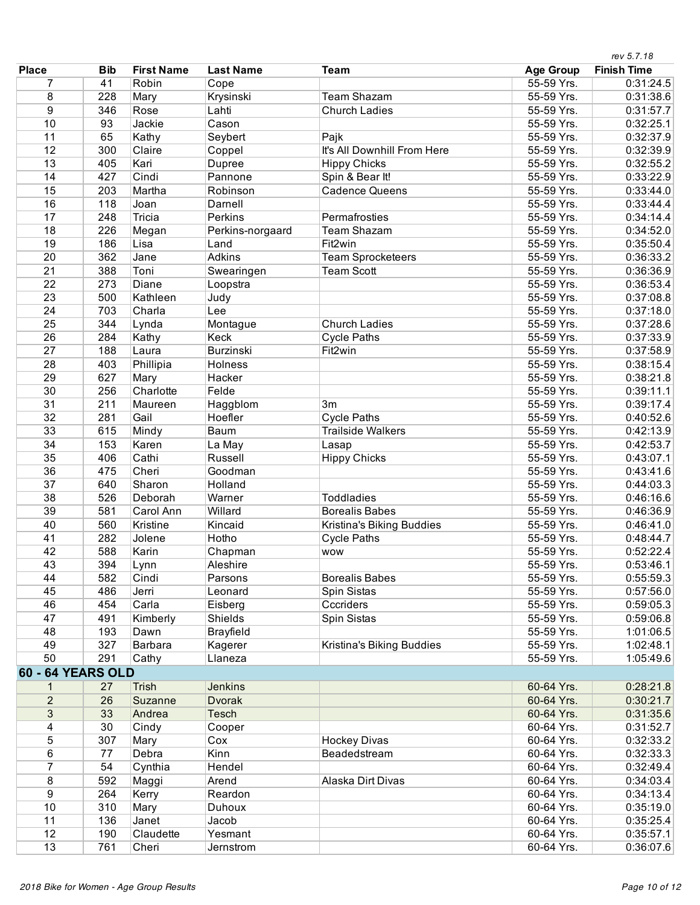|                          |            |                   |                  |                             |                  | rev 5.7.18         |
|--------------------------|------------|-------------------|------------------|-----------------------------|------------------|--------------------|
| <b>Place</b>             | <b>Bib</b> | <b>First Name</b> | <b>Last Name</b> | <b>Team</b>                 | <b>Age Group</b> | <b>Finish Time</b> |
| 7                        | 41         | Robin             | Cope             |                             | 55-59 Yrs.       | 0:31:24.5          |
| 8                        | 228        | Mary              | Krysinski        | <b>Team Shazam</b>          | 55-59 Yrs.       | 0:31:38.6          |
| 9                        | 346        | Rose              | Lahti            | <b>Church Ladies</b>        | 55-59 Yrs.       | 0:31:57.7          |
| 10                       | 93         | Jackie            | Cason            |                             | 55-59 Yrs.       | 0:32:25.1          |
| 11                       | 65         | Kathy             | Seybert          | Pajk                        | 55-59 Yrs.       | 0:32:37.9          |
| 12                       | 300        | Claire            | Coppel           | It's All Downhill From Here | 55-59 Yrs.       | 0:32:39.9          |
| 13                       | 405        | Kari              | Dupree           | <b>Hippy Chicks</b>         | 55-59 Yrs.       | 0:32:55.2          |
| 14                       | 427        | Cindi             | Pannone          | Spin & Bear It!             | 55-59 Yrs.       | 0:33:22.9          |
| 15                       | 203        | Martha            | Robinson         | <b>Cadence Queens</b>       | 55-59 Yrs.       | 0:33:44.0          |
| 16                       | 118        | Joan              | Darnell          |                             | 55-59 Yrs.       | 0:33:44.4          |
| 17                       | 248        | Tricia            | Perkins          | Permafrosties               | 55-59 Yrs.       | 0:34:14.4          |
| 18                       | 226        | Megan             | Perkins-norgaard | <b>Team Shazam</b>          | 55-59 Yrs.       | 0:34:52.0          |
| 19                       | 186        | Lisa              | Land             | Fit2win                     | 55-59 Yrs.       | 0:35:50.4          |
| 20                       | 362        | Jane              | <b>Adkins</b>    | <b>Team Sprocketeers</b>    | 55-59 Yrs.       | 0:36:33.2          |
| 21                       | 388        | Toni              | Swearingen       | <b>Team Scott</b>           | 55-59 Yrs.       | 0:36:36.9          |
| 22                       | 273        | Diane             | Loopstra         |                             | 55-59 Yrs.       | 0:36:53.4          |
| 23                       | 500        | Kathleen          | Judy             |                             | 55-59 Yrs.       | 0:37:08.8          |
| 24                       | 703        | Charla            | Lee              |                             | 55-59 Yrs.       | 0:37:18.0          |
| 25                       | 344        | Lynda             | Montague         | <b>Church Ladies</b>        | 55-59 Yrs.       | 0:37:28.6          |
| 26                       | 284        | Kathy             | Keck             | <b>Cycle Paths</b>          | 55-59 Yrs.       | 0:37:33.9          |
| 27                       | 188        | Laura             | <b>Burzinski</b> | Fit <sub>2</sub> win        | 55-59 Yrs.       | 0:37:58.9          |
| 28                       | 403        | Phillipia         | Holness          |                             | 55-59 Yrs.       | 0:38:15.4          |
| 29                       | 627        | Mary              | Hacker           |                             | 55-59 Yrs.       | 0:38:21.8          |
| 30                       | 256        | Charlotte         | Felde            |                             | 55-59 Yrs.       | 0:39:11.1          |
| 31                       | 211        | Maureen           | Haggblom         | 3m                          | 55-59 Yrs.       | 0:39:17.4          |
| 32                       | 281        | Gail              | Hoefler          | <b>Cycle Paths</b>          | 55-59 Yrs.       | 0:40:52.6          |
| 33                       | 615        | Mindy             | Baum             | <b>Trailside Walkers</b>    | 55-59 Yrs.       | 0:42:13.9          |
| 34                       | 153        | Karen             | La May           | Lasap                       | 55-59 Yrs.       | 0:42:53.7          |
| 35                       | 406        | Cathi             | Russell          | <b>Hippy Chicks</b>         | 55-59 Yrs.       | 0:43:07.1          |
| 36                       | 475        | Cheri             | Goodman          |                             | 55-59 Yrs.       | 0:43:41.6          |
| 37                       | 640        | Sharon            | Holland          |                             | 55-59 Yrs.       | 0:44:03.3          |
| 38                       | 526        | Deborah           | Warner           | <b>Toddladies</b>           | 55-59 Yrs.       | 0:46:16.6          |
| 39                       | 581        | Carol Ann         | Willard          | <b>Borealis Babes</b>       | 55-59 Yrs.       | 0:46:36.9          |
| 40                       | 560        | Kristine          | Kincaid          | Kristina's Biking Buddies   | 55-59 Yrs.       | 0:46:41.0          |
| 41                       | 282        | Jolene            | Hotho            | <b>Cycle Paths</b>          | 55-59 Yrs.       | 0:48:44.7          |
| 42                       | 588        | Karin             | Chapman          | <b>WOW</b>                  | 55-59 Yrs.       | 0:52:22.4          |
| 43                       | 394        | Lynn              | Aleshire         |                             | 55-59 Yrs.       | 0:53:46.1          |
| 44                       | 582        | Cindi             | Parsons          | <b>Borealis Babes</b>       | 55-59 Yrs.       | 0:55:59.3          |
| 45                       | 486        | Jerri             | Leonard          | Spin Sistas                 | 55-59 Yrs.       | 0:57:56.0          |
| 46                       | 454        | Carla             | Eisberg          | Cccriders                   | 55-59 Yrs.       | 0:59:05.3          |
| 47                       | 491        | Kimberly          | <b>Shields</b>   | Spin Sistas                 | 55-59 Yrs.       | 0:59:06.8          |
| 48                       | 193        | Dawn              | <b>Brayfield</b> |                             | 55-59 Yrs.       | 1:01:06.5          |
| 49                       | 327        | Barbara           | Kagerer          | Kristina's Biking Buddies   | 55-59 Yrs.       | 1:02:48.1          |
| 50                       | 291        | Cathy             | Llaneza          |                             | 55-59 Yrs.       | 1:05:49.6          |
| <b>60 - 64 YEARS OLD</b> |            |                   |                  |                             |                  |                    |
| 1                        | 27         | <b>Trish</b>      | <b>Jenkins</b>   |                             | 60-64 Yrs.       | 0:28:21.8          |
| $\overline{2}$           | 26         | Suzanne           | <b>Dvorak</b>    |                             | 60-64 Yrs.       | 0:30:21.7          |
| 3                        | 33         | Andrea            | Tesch            |                             | 60-64 Yrs.       | 0:31:35.6          |
| 4                        | 30         | Cindy             | Cooper           |                             | 60-64 Yrs.       | 0:31:52.7          |
| 5                        | 307        | Mary              | Cox              | <b>Hockey Divas</b>         | 60-64 Yrs.       | 0:32:33.2          |
| 6                        | 77         | Debra             | Kinn             | Beadedstream                | 60-64 Yrs.       | 0:32:33.3          |
| $\overline{7}$           | 54         | Cynthia           | Hendel           |                             | 60-64 Yrs.       | 0:32:49.4          |
| 8                        | 592        | Maggi             | Arend            | Alaska Dirt Divas           | 60-64 Yrs.       | 0:34:03.4          |
| 9                        | 264        | Kerry             | Reardon          |                             | 60-64 Yrs.       | 0:34:13.4          |
| 10                       | 310        | Mary              | Duhoux           |                             | 60-64 Yrs.       | 0:35:19.0          |
| 11                       | 136        | Janet             | Jacob            |                             | 60-64 Yrs.       | 0:35:25.4          |
| 12                       | 190        | Claudette         | Yesmant          |                             | 60-64 Yrs.       | 0:35:57.1          |
| 13                       | 761        | Cheri             | Jernstrom        |                             | 60-64 Yrs.       | 0:36:07.6          |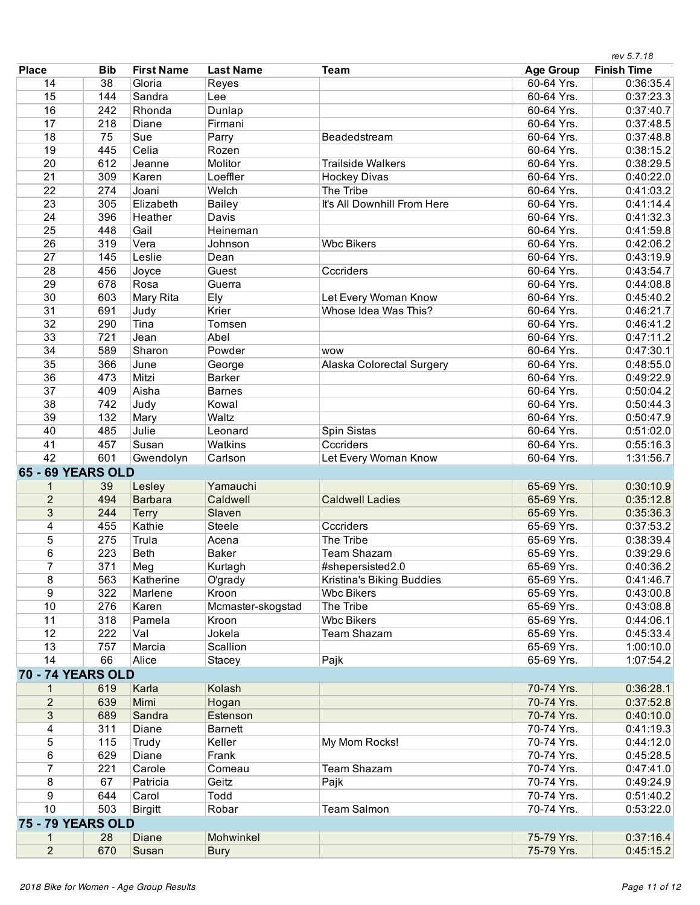|                          |            |                   |                          |                             |                          | rev 5.7.18         |
|--------------------------|------------|-------------------|--------------------------|-----------------------------|--------------------------|--------------------|
| <b>Place</b>             | <b>Bib</b> | <b>First Name</b> | <b>Last Name</b>         | <b>Team</b>                 | <b>Age Group</b>         | <b>Finish Time</b> |
| 14                       | 38         | Gloria            | Reyes                    |                             | 60-64 Yrs.               | 0:36:35.4          |
| 15                       | 144        | Sandra            | Lee                      |                             | 60-64 Yrs.               | 0:37:23.3          |
| 16                       | 242        | Rhonda            | Dunlap                   |                             | 60-64 Yrs.               | 0:37:40.7          |
| 17                       | 218        | Diane             | Firmani                  |                             | 60-64 Yrs.               | 0:37:48.5          |
| 18                       | 75         | Sue               | Parry                    | Beadedstream                | 60-64 Yrs.               | 0:37:48.8          |
| 19                       | 445        | Celia             | Rozen                    |                             | 60-64 Yrs.               | 0:38:15.2          |
| 20                       | 612        | Jeanne            | Molitor                  | <b>Trailside Walkers</b>    | 60-64 Yrs.               | 0:38:29.5          |
| $\overline{21}$          | 309        | Karen             | Loeffler                 | <b>Hockey Divas</b>         | 60-64 Yrs.               | 0:40:22.0          |
| $\overline{22}$          | 274        | Joani             | Welch                    | The Tribe                   | 60-64 Yrs.               | 0:41:03.2          |
| 23                       | 305        | Elizabeth         | <b>Bailey</b>            | It's All Downhill From Here | 60-64 Yrs.               | 0:41:14.4          |
| 24                       | 396        | Heather           | Davis                    |                             | 60-64 Yrs.               | 0:41:32.3          |
| 25                       | 448        | Gail              | Heineman                 |                             | 60-64 Yrs.               | 0:41:59.8          |
| 26                       | 319        | Vera              | Johnson                  | <b>Wbc Bikers</b>           | 60-64 Yrs.               | 0:42:06.2          |
| 27                       | 145        | Leslie            | Dean                     |                             | 60-64 Yrs.               | 0:43:19.9          |
| 28                       | 456        | Joyce             | Guest                    | Cccriders                   | 60-64 Yrs.               | 0:43:54.7          |
| 29                       | 678        | Rosa              | Guerra                   |                             | 60-64 Yrs.               | 0:44:08.8          |
| 30                       | 603        | Mary Rita         | Ely                      | Let Every Woman Know        | 60-64 Yrs.               | 0:45:40.2          |
| 31                       | 691        | Judy              | Krier                    | Whose Idea Was This?        | 60-64 Yrs.               | 0:46:21.7          |
| $\overline{32}$          | 290        | Tina              | Tomsen                   |                             | 60-64 Yrs.               | 0:46:41.2          |
| 33                       | 721        | Jean              | Abel                     |                             | 60-64 Yrs.               | 0:47:11.2          |
| 34                       | 589        | Sharon            | Powder                   | <b>WOW</b>                  | 60-64 Yrs.               | 0:47:30.1          |
| 35                       | 366        | June              | George                   | Alaska Colorectal Surgery   | 60-64 Yrs.               | 0:48:55.0          |
| 36                       | 473        | Mitzi             | <b>Barker</b>            |                             | 60-64 Yrs.               | 0:49:22.9          |
| $\overline{37}$          | 409        | Aisha             | <b>Barnes</b>            |                             | 60-64 Yrs.               | 0:50:04.2          |
| 38                       | 742        | Judy              | Kowal                    |                             | 60-64 Yrs.               | 0:50:44.3          |
| 39                       | 132        | Mary              | Waltz                    |                             | 60-64 Yrs.               | 0:50:47.9          |
| 40                       | 485        | Julie             | Leonard                  | Spin Sistas                 | 60-64 Yrs.               | 0:51:02.0          |
| 41                       | 457        | Susan             | <b>Watkins</b>           | Cccriders                   | 60-64 Yrs.               | 0:55:16.3          |
| 42                       | 601        | Gwendolyn         | Carlson                  | Let Every Woman Know        | 60-64 Yrs.               | 1:31:56.7          |
| 65 - 69 YEARS OLD        |            |                   |                          |                             |                          |                    |
| $\mathbf{1}$             | 39         | Lesley            | Yamauchi                 |                             | 65-69 Yrs.               | 0:30:10.9          |
| $\overline{2}$           | 494        | <b>Barbara</b>    | Caldwell                 | <b>Caldwell Ladies</b>      | 65-69 Yrs.               | 0:35:12.8          |
| 3                        | 244        | <b>Terry</b>      | Slaven                   |                             | 65-69 Yrs.               | 0:35:36.3          |
| 4                        | 455        | Kathie            | Steele                   | Cccriders                   | 65-69 Yrs.               | 0:37:53.2          |
| 5                        | 275        | Trula             | Acena                    | The Tribe                   | 65-69 Yrs.               | 0:38:39.4          |
| 6                        | 223        | Beth              | Baker                    | <b>Team Shazam</b>          | 65-69 Yrs.               | 0:39:29.6          |
| 7                        | 371        | Meg               | Kurtagh                  | #shepersisted2.0            | 65-69 Yrs.               | 0:40:36.2          |
| 8                        | 563        | Katherine         | O'grady                  | Kristina's Biking Buddies   | 65-69 Yrs.               | 0:41:46.7          |
| 9                        | 322        | Marlene           | Kroon                    | <b>Wbc Bikers</b>           | 65-69 Yrs.               | 0:43:00.8          |
| 10                       | 276        | Karen             | Mcmaster-skogstad        | The Tribe                   | 65-69 Yrs.               | 0:43:08.8          |
| 11                       | 318        | Pamela            | Kroon                    | <b>Wbc Bikers</b>           | 65-69 Yrs.               | 0:44:06.1          |
| 12                       | 222        | Val               | Jokela                   | Team Shazam                 | 65-69 Yrs.               | 0:45:33.4          |
| 13                       | 757        | Marcia            | Scallion                 |                             | 65-69 Yrs.               | 1:00:10.0          |
| 14                       | 66         | Alice             | Stacey                   | Pajk                        | 65-69 Yrs.               | 1:07:54.2          |
| <b>70 - 74 YEARS OLD</b> |            |                   |                          |                             |                          |                    |
| 1                        | 619        | Karla             | <b>Kolash</b>            |                             | 70-74 Yrs.               | 0:36:28.1          |
| $\overline{2}$           | 639        | Mimi              |                          |                             | 70-74 Yrs.               | 0:37:52.8          |
|                          |            | Sandra            | Hogan                    |                             | 70-74 Yrs.               |                    |
| $\sqrt{3}$               | 689        |                   | Estenson                 |                             |                          | 0:40:10.0          |
| 4                        | 311<br>115 | Diane             | <b>Barnett</b><br>Keller |                             | 70-74 Yrs.               | 0:41:19.3          |
| 5                        |            | Trudy             |                          | My Mom Rocks!               | 70-74 Yrs.<br>70-74 Yrs. | 0:44:12.0          |
| 6<br>$\overline{7}$      | 629<br>221 | Diane             | Frank                    | <b>Team Shazam</b>          | 70-74 Yrs.               | 0:45:28.5          |
|                          |            | Carole            | Comeau                   |                             |                          | 0:47:41.0          |
| 8                        | 67         | Patricia          | Geitz                    | Pajk                        | 70-74 Yrs.               | 0:49:24.9          |
| 9                        | 644        | Carol             | Todd                     |                             | 70-74 Yrs.               | 0:51:40.2          |
| 10                       | 503        | <b>Birgitt</b>    | Robar                    | <b>Team Salmon</b>          | 70-74 Yrs.               | 0:53:22.0          |
| <b>75 - 79 YEARS OLD</b> |            |                   |                          |                             |                          |                    |
| 1                        | 28         | <b>Diane</b>      | Mohwinkel                |                             | 75-79 Yrs.               | 0:37:16.4          |
| $\overline{2}$           | 670        | Susan             | <b>Bury</b>              |                             | 75-79 Yrs.               | 0:45:15.2          |